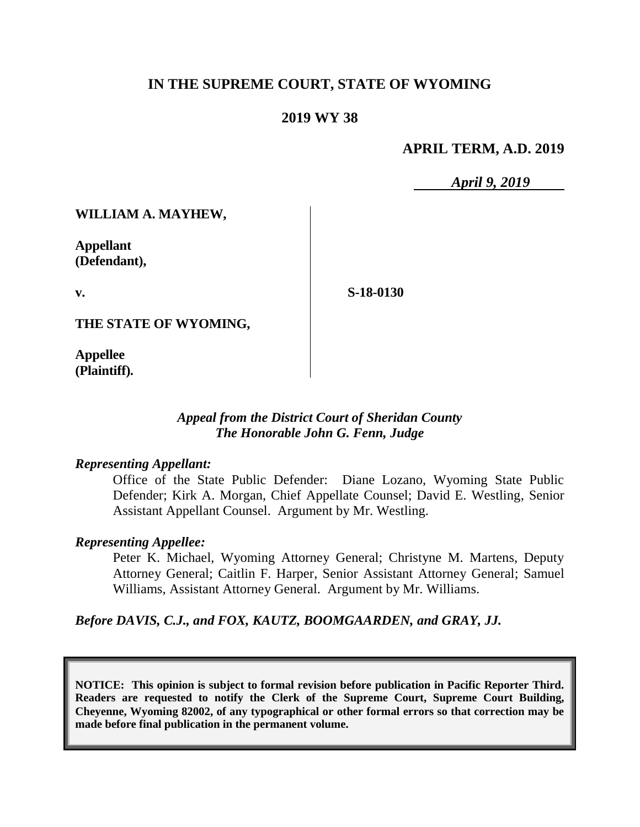# **IN THE SUPREME COURT, STATE OF WYOMING**

## **2019 WY 38**

#### **APRIL TERM, A.D. 2019**

*April 9, 2019*

**WILLIAM A. MAYHEW,**

**Appellant (Defendant),**

**v.**

**S-18-0130**

**THE STATE OF WYOMING,**

**Appellee (Plaintiff).**

#### *Appeal from the District Court of Sheridan County The Honorable John G. Fenn, Judge*

#### *Representing Appellant:*

Office of the State Public Defender: Diane Lozano, Wyoming State Public Defender; Kirk A. Morgan, Chief Appellate Counsel; David E. Westling, Senior Assistant Appellant Counsel. Argument by Mr. Westling.

#### *Representing Appellee:*

Peter K. Michael, Wyoming Attorney General; Christyne M. Martens, Deputy Attorney General; Caitlin F. Harper, Senior Assistant Attorney General; Samuel Williams, Assistant Attorney General. Argument by Mr. Williams.

*Before DAVIS, C.J., and FOX, KAUTZ, BOOMGAARDEN, and GRAY, JJ.*

**NOTICE: This opinion is subject to formal revision before publication in Pacific Reporter Third. Readers are requested to notify the Clerk of the Supreme Court, Supreme Court Building, Cheyenne, Wyoming 82002, of any typographical or other formal errors so that correction may be made before final publication in the permanent volume.**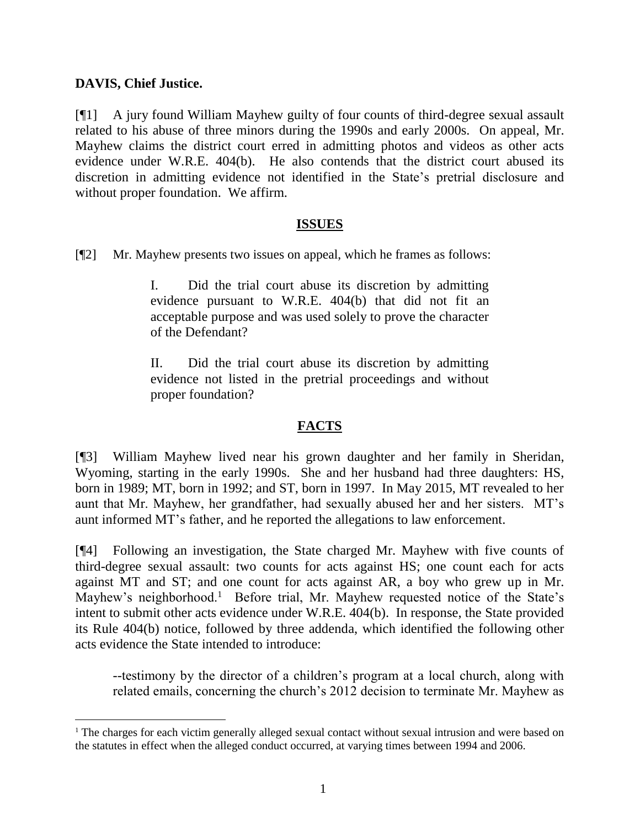## **DAVIS, Chief Justice.**

l

[¶1] A jury found William Mayhew guilty of four counts of third-degree sexual assault related to his abuse of three minors during the 1990s and early 2000s. On appeal, Mr. Mayhew claims the district court erred in admitting photos and videos as other acts evidence under W.R.E. 404(b). He also contends that the district court abused its discretion in admitting evidence not identified in the State's pretrial disclosure and without proper foundation. We affirm.

#### **ISSUES**

[¶2] Mr. Mayhew presents two issues on appeal, which he frames as follows:

I. Did the trial court abuse its discretion by admitting evidence pursuant to W.R.E. 404(b) that did not fit an acceptable purpose and was used solely to prove the character of the Defendant?

II. Did the trial court abuse its discretion by admitting evidence not listed in the pretrial proceedings and without proper foundation?

# **FACTS**

[¶3] William Mayhew lived near his grown daughter and her family in Sheridan, Wyoming, starting in the early 1990s. She and her husband had three daughters: HS, born in 1989; MT, born in 1992; and ST, born in 1997. In May 2015, MT revealed to her aunt that Mr. Mayhew, her grandfather, had sexually abused her and her sisters. MT's aunt informed MT's father, and he reported the allegations to law enforcement.

[¶4] Following an investigation, the State charged Mr. Mayhew with five counts of third-degree sexual assault: two counts for acts against HS; one count each for acts against MT and ST; and one count for acts against AR, a boy who grew up in Mr. Mayhew's neighborhood.<sup>1</sup> Before trial, Mr. Mayhew requested notice of the State's intent to submit other acts evidence under W.R.E. 404(b). In response, the State provided its Rule 404(b) notice, followed by three addenda, which identified the following other acts evidence the State intended to introduce:

--testimony by the director of a children's program at a local church, along with related emails, concerning the church's 2012 decision to terminate Mr. Mayhew as

<sup>&</sup>lt;sup>1</sup> The charges for each victim generally alleged sexual contact without sexual intrusion and were based on the statutes in effect when the alleged conduct occurred, at varying times between 1994 and 2006.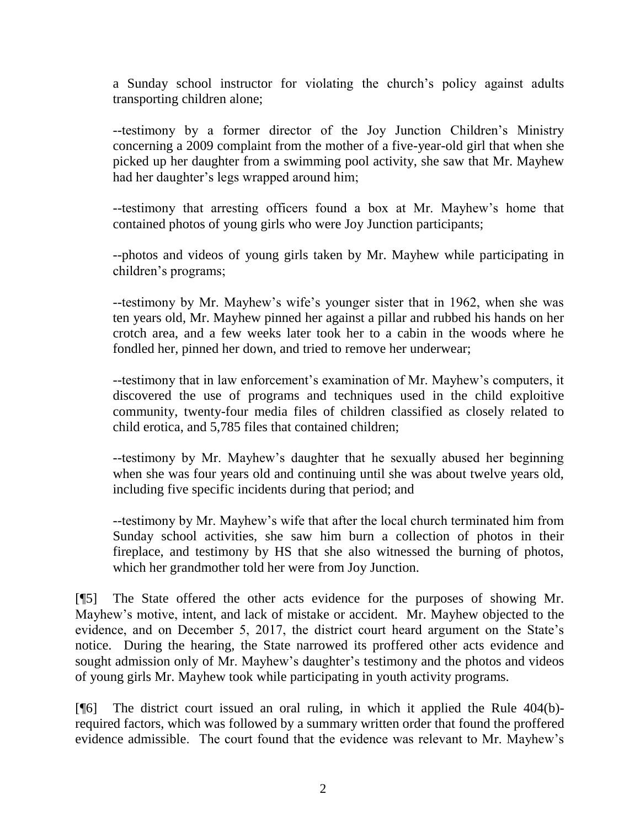a Sunday school instructor for violating the church's policy against adults transporting children alone;

--testimony by a former director of the Joy Junction Children's Ministry concerning a 2009 complaint from the mother of a five-year-old girl that when she picked up her daughter from a swimming pool activity, she saw that Mr. Mayhew had her daughter's legs wrapped around him;

--testimony that arresting officers found a box at Mr. Mayhew's home that contained photos of young girls who were Joy Junction participants;

--photos and videos of young girls taken by Mr. Mayhew while participating in children's programs;

--testimony by Mr. Mayhew's wife's younger sister that in 1962, when she was ten years old, Mr. Mayhew pinned her against a pillar and rubbed his hands on her crotch area, and a few weeks later took her to a cabin in the woods where he fondled her, pinned her down, and tried to remove her underwear;

--testimony that in law enforcement's examination of Mr. Mayhew's computers, it discovered the use of programs and techniques used in the child exploitive community, twenty-four media files of children classified as closely related to child erotica, and 5,785 files that contained children;

--testimony by Mr. Mayhew's daughter that he sexually abused her beginning when she was four years old and continuing until she was about twelve years old, including five specific incidents during that period; and

--testimony by Mr. Mayhew's wife that after the local church terminated him from Sunday school activities, she saw him burn a collection of photos in their fireplace, and testimony by HS that she also witnessed the burning of photos, which her grandmother told her were from Joy Junction.

[¶5] The State offered the other acts evidence for the purposes of showing Mr. Mayhew's motive, intent, and lack of mistake or accident. Mr. Mayhew objected to the evidence, and on December 5, 2017, the district court heard argument on the State's notice. During the hearing, the State narrowed its proffered other acts evidence and sought admission only of Mr. Mayhew's daughter's testimony and the photos and videos of young girls Mr. Mayhew took while participating in youth activity programs.

[¶6] The district court issued an oral ruling, in which it applied the Rule 404(b) required factors, which was followed by a summary written order that found the proffered evidence admissible. The court found that the evidence was relevant to Mr. Mayhew's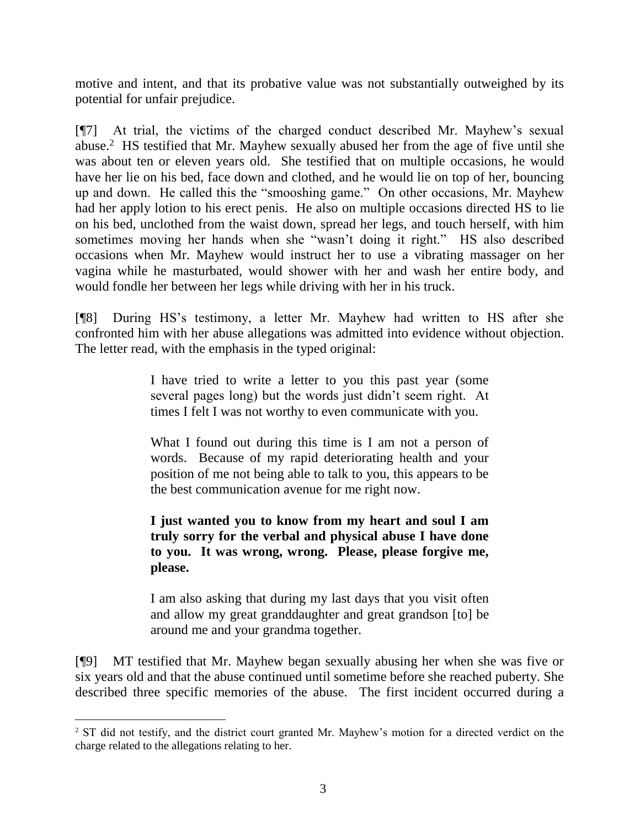motive and intent, and that its probative value was not substantially outweighed by its potential for unfair prejudice.

[¶7] At trial, the victims of the charged conduct described Mr. Mayhew's sexual abuse.<sup>2</sup> HS testified that Mr. Mayhew sexually abused her from the age of five until she was about ten or eleven years old. She testified that on multiple occasions, he would have her lie on his bed, face down and clothed, and he would lie on top of her, bouncing up and down. He called this the "smooshing game." On other occasions, Mr. Mayhew had her apply lotion to his erect penis. He also on multiple occasions directed HS to lie on his bed, unclothed from the waist down, spread her legs, and touch herself, with him sometimes moving her hands when she "wasn't doing it right." HS also described occasions when Mr. Mayhew would instruct her to use a vibrating massager on her vagina while he masturbated, would shower with her and wash her entire body, and would fondle her between her legs while driving with her in his truck.

[¶8] During HS's testimony, a letter Mr. Mayhew had written to HS after she confronted him with her abuse allegations was admitted into evidence without objection. The letter read, with the emphasis in the typed original:

> I have tried to write a letter to you this past year (some several pages long) but the words just didn't seem right. At times I felt I was not worthy to even communicate with you.

> What I found out during this time is I am not a person of words. Because of my rapid deteriorating health and your position of me not being able to talk to you, this appears to be the best communication avenue for me right now.

> **I just wanted you to know from my heart and soul I am truly sorry for the verbal and physical abuse I have done to you. It was wrong, wrong. Please, please forgive me, please.**

> I am also asking that during my last days that you visit often and allow my great granddaughter and great grandson [to] be around me and your grandma together.

[¶9] MT testified that Mr. Mayhew began sexually abusing her when she was five or six years old and that the abuse continued until sometime before she reached puberty. She described three specific memories of the abuse. The first incident occurred during a

l

<sup>&</sup>lt;sup>2</sup> ST did not testify, and the district court granted Mr. Mayhew's motion for a directed verdict on the charge related to the allegations relating to her.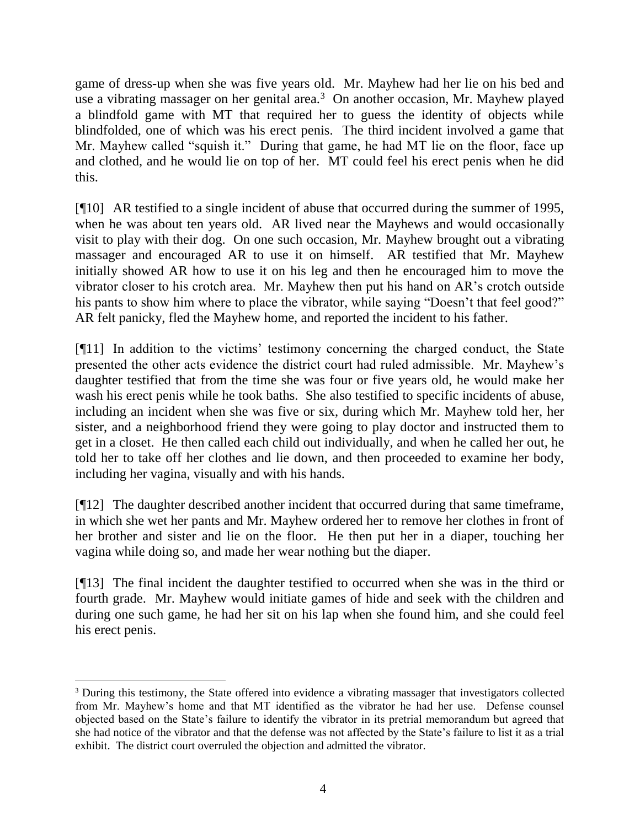game of dress-up when she was five years old. Mr. Mayhew had her lie on his bed and use a vibrating massager on her genital area. $3$  On another occasion, Mr. Mayhew played a blindfold game with MT that required her to guess the identity of objects while blindfolded, one of which was his erect penis. The third incident involved a game that Mr. Mayhew called "squish it." During that game, he had MT lie on the floor, face up and clothed, and he would lie on top of her. MT could feel his erect penis when he did this.

[¶10] AR testified to a single incident of abuse that occurred during the summer of 1995, when he was about ten years old. AR lived near the Mayhews and would occasionally visit to play with their dog. On one such occasion, Mr. Mayhew brought out a vibrating massager and encouraged AR to use it on himself. AR testified that Mr. Mayhew initially showed AR how to use it on his leg and then he encouraged him to move the vibrator closer to his crotch area. Mr. Mayhew then put his hand on AR's crotch outside his pants to show him where to place the vibrator, while saying "Doesn't that feel good?" AR felt panicky, fled the Mayhew home, and reported the incident to his father.

[¶11] In addition to the victims' testimony concerning the charged conduct, the State presented the other acts evidence the district court had ruled admissible. Mr. Mayhew's daughter testified that from the time she was four or five years old, he would make her wash his erect penis while he took baths. She also testified to specific incidents of abuse, including an incident when she was five or six, during which Mr. Mayhew told her, her sister, and a neighborhood friend they were going to play doctor and instructed them to get in a closet. He then called each child out individually, and when he called her out, he told her to take off her clothes and lie down, and then proceeded to examine her body, including her vagina, visually and with his hands.

[¶12] The daughter described another incident that occurred during that same timeframe, in which she wet her pants and Mr. Mayhew ordered her to remove her clothes in front of her brother and sister and lie on the floor. He then put her in a diaper, touching her vagina while doing so, and made her wear nothing but the diaper.

[¶13] The final incident the daughter testified to occurred when she was in the third or fourth grade. Mr. Mayhew would initiate games of hide and seek with the children and during one such game, he had her sit on his lap when she found him, and she could feel his erect penis.

 <sup>3</sup> During this testimony, the State offered into evidence a vibrating massager that investigators collected from Mr. Mayhew's home and that MT identified as the vibrator he had her use. Defense counsel objected based on the State's failure to identify the vibrator in its pretrial memorandum but agreed that she had notice of the vibrator and that the defense was not affected by the State's failure to list it as a trial exhibit. The district court overruled the objection and admitted the vibrator.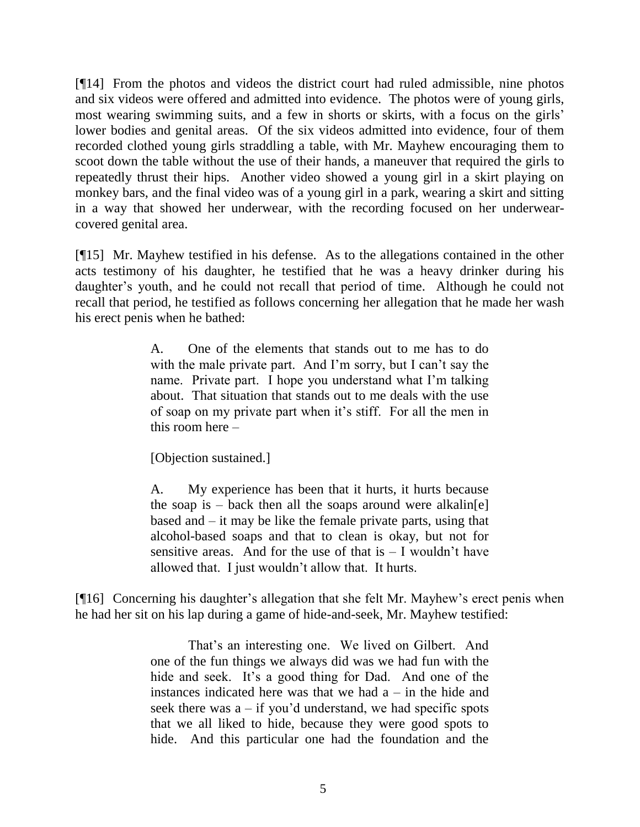[¶14] From the photos and videos the district court had ruled admissible, nine photos and six videos were offered and admitted into evidence. The photos were of young girls, most wearing swimming suits, and a few in shorts or skirts, with a focus on the girls' lower bodies and genital areas. Of the six videos admitted into evidence, four of them recorded clothed young girls straddling a table, with Mr. Mayhew encouraging them to scoot down the table without the use of their hands, a maneuver that required the girls to repeatedly thrust their hips. Another video showed a young girl in a skirt playing on monkey bars, and the final video was of a young girl in a park, wearing a skirt and sitting in a way that showed her underwear, with the recording focused on her underwearcovered genital area.

[¶15] Mr. Mayhew testified in his defense. As to the allegations contained in the other acts testimony of his daughter, he testified that he was a heavy drinker during his daughter's youth, and he could not recall that period of time. Although he could not recall that period, he testified as follows concerning her allegation that he made her wash his erect penis when he bathed:

> A. One of the elements that stands out to me has to do with the male private part. And I'm sorry, but I can't say the name. Private part. I hope you understand what I'm talking about. That situation that stands out to me deals with the use of soap on my private part when it's stiff. For all the men in this room here –

[Objection sustained.]

A. My experience has been that it hurts, it hurts because the soap is – back then all the soaps around were alkalin $[e]$ based and – it may be like the female private parts, using that alcohol-based soaps and that to clean is okay, but not for sensitive areas. And for the use of that  $is - I$  wouldn't have allowed that. I just wouldn't allow that. It hurts.

[¶16] Concerning his daughter's allegation that she felt Mr. Mayhew's erect penis when he had her sit on his lap during a game of hide-and-seek, Mr. Mayhew testified:

> That's an interesting one. We lived on Gilbert. And one of the fun things we always did was we had fun with the hide and seek. It's a good thing for Dad. And one of the instances indicated here was that we had  $a - in$  the hide and seek there was  $a - if you'd understand, we had specific spots$ that we all liked to hide, because they were good spots to hide. And this particular one had the foundation and the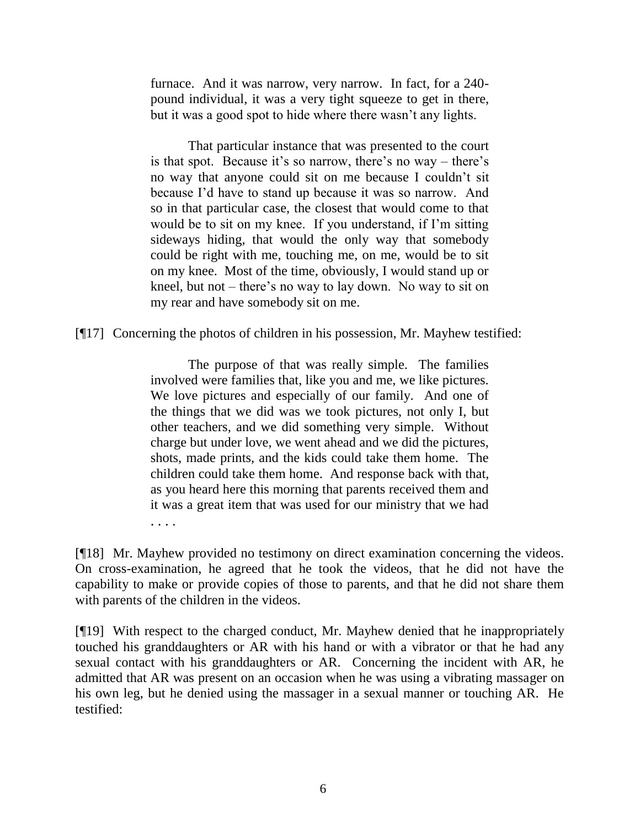furnace. And it was narrow, very narrow. In fact, for a 240 pound individual, it was a very tight squeeze to get in there, but it was a good spot to hide where there wasn't any lights.

That particular instance that was presented to the court is that spot. Because it's so narrow, there's no way – there's no way that anyone could sit on me because I couldn't sit because I'd have to stand up because it was so narrow. And so in that particular case, the closest that would come to that would be to sit on my knee. If you understand, if I'm sitting sideways hiding, that would the only way that somebody could be right with me, touching me, on me, would be to sit on my knee. Most of the time, obviously, I would stand up or kneel, but not – there's no way to lay down. No way to sit on my rear and have somebody sit on me.

[¶17] Concerning the photos of children in his possession, Mr. Mayhew testified:

The purpose of that was really simple. The families involved were families that, like you and me, we like pictures. We love pictures and especially of our family. And one of the things that we did was we took pictures, not only I, but other teachers, and we did something very simple. Without charge but under love, we went ahead and we did the pictures, shots, made prints, and the kids could take them home. The children could take them home. And response back with that, as you heard here this morning that parents received them and it was a great item that was used for our ministry that we had

. . . .

[¶18] Mr. Mayhew provided no testimony on direct examination concerning the videos. On cross-examination, he agreed that he took the videos, that he did not have the capability to make or provide copies of those to parents, and that he did not share them with parents of the children in the videos.

[¶19] With respect to the charged conduct, Mr. Mayhew denied that he inappropriately touched his granddaughters or AR with his hand or with a vibrator or that he had any sexual contact with his granddaughters or AR. Concerning the incident with AR, he admitted that AR was present on an occasion when he was using a vibrating massager on his own leg, but he denied using the massager in a sexual manner or touching AR. He testified: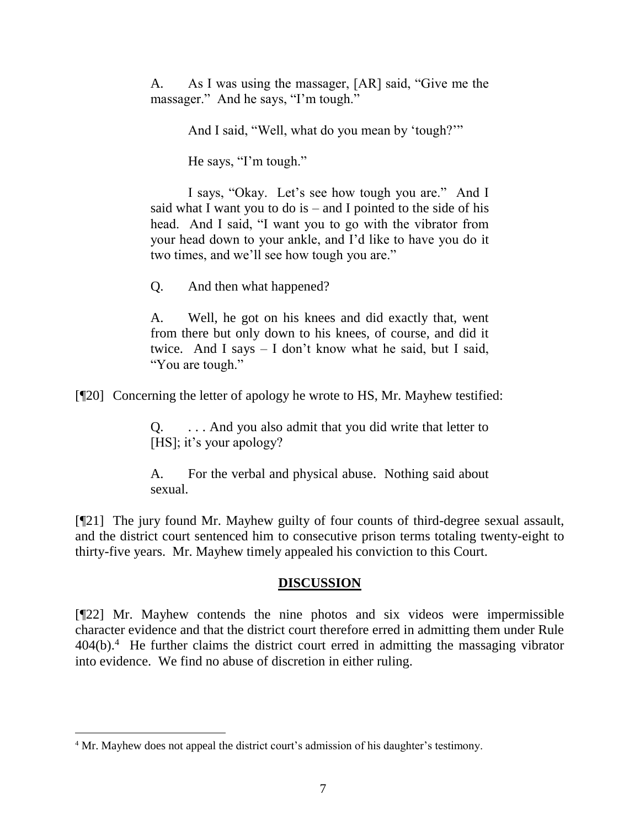A. As I was using the massager, [AR] said, "Give me the massager." And he says, "I'm tough."

And I said, "Well, what do you mean by 'tough?'"

He says, "I'm tough."

I says, "Okay. Let's see how tough you are." And I said what I want you to do is  $-$  and I pointed to the side of his head. And I said, "I want you to go with the vibrator from your head down to your ankle, and I'd like to have you do it two times, and we'll see how tough you are."

Q. And then what happened?

A. Well, he got on his knees and did exactly that, went from there but only down to his knees, of course, and did it twice. And I says – I don't know what he said, but I said, "You are tough."

[¶20] Concerning the letter of apology he wrote to HS, Mr. Mayhew testified:

Q. . . . And you also admit that you did write that letter to [HS]; it's your apology?

A. For the verbal and physical abuse. Nothing said about sexual.

[¶21] The jury found Mr. Mayhew guilty of four counts of third-degree sexual assault, and the district court sentenced him to consecutive prison terms totaling twenty-eight to thirty-five years. Mr. Mayhew timely appealed his conviction to this Court.

#### **DISCUSSION**

[¶22] Mr. Mayhew contends the nine photos and six videos were impermissible character evidence and that the district court therefore erred in admitting them under Rule  $404(b)$ <sup>4</sup> He further claims the district court erred in admitting the massaging vibrator into evidence. We find no abuse of discretion in either ruling.

<sup>4</sup> Mr. Mayhew does not appeal the district court's admission of his daughter's testimony.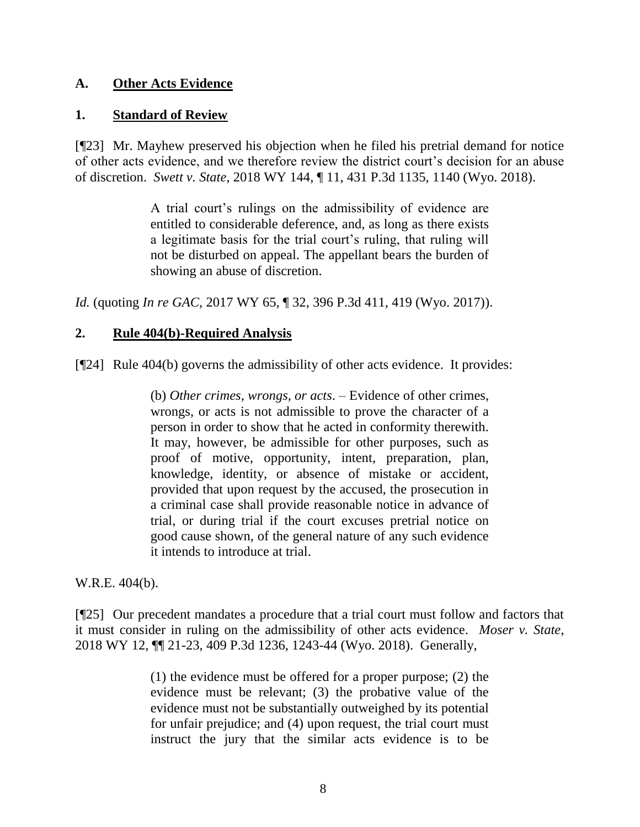# **A. Other Acts Evidence**

#### **1. Standard of Review**

[¶23] Mr. Mayhew preserved his objection when he filed his pretrial demand for notice of other acts evidence, and we therefore review the district court's decision for an abuse of discretion. *Swett v. State*, 2018 WY 144, ¶ 11, 431 P.3d 1135, 1140 (Wyo. 2018).

> A trial court's rulings on the admissibility of evidence are entitled to considerable deference, and, as long as there exists a legitimate basis for the trial court's ruling, that ruling will not be disturbed on appeal. The appellant bears the burden of showing an abuse of discretion.

*Id.* (quoting *In re GAC*[, 2017 WY 65, ¶ 32, 396 P.3d 411, 419 \(Wyo. 2017\)\)](http://www.westlaw.com/Link/Document/FullText?findType=Y&serNum=2041792190&pubNum=0004645&originatingDoc=Ieed105e0059611e9a1b0e6625e646f8f&refType=RP&fi=co_pp_sp_4645_419&originationContext=document&vr=3.0&rs=cblt1.0&transitionType=DocumentItem&contextData=(sc.UserEnteredCitation)#co_pp_sp_4645_419).

## **2. Rule 404(b)-Required Analysis**

[¶24] Rule 404(b) governs the admissibility of other acts evidence. It provides:

(b) *Other crimes, wrongs, or acts*. – Evidence of other crimes, wrongs, or acts is not admissible to prove the character of a person in order to show that he acted in conformity therewith. It may, however, be admissible for other purposes, such as proof of motive, opportunity, intent, preparation, plan, knowledge, identity, or absence of mistake or accident, provided that upon request by the accused, the prosecution in a criminal case shall provide reasonable notice in advance of trial, or during trial if the court excuses pretrial notice on good cause shown, of the general nature of any such evidence it intends to introduce at trial.

W.R.E. 404(b).

[¶25] Our precedent mandates a procedure that a trial court must follow and factors that it must consider in ruling on the admissibility of other acts evidence. *Moser v. State*, 2018 WY 12, ¶¶ 21-23, 409 P.3d 1236, 1243-44 (Wyo. 2018). Generally,

> (1) the evidence must be offered for a proper purpose; (2) the evidence must be relevant; (3) the probative value of the evidence must not be substantially outweighed by its potential for unfair prejudice; and (4) upon request, the trial court must instruct the jury that the similar acts evidence is to be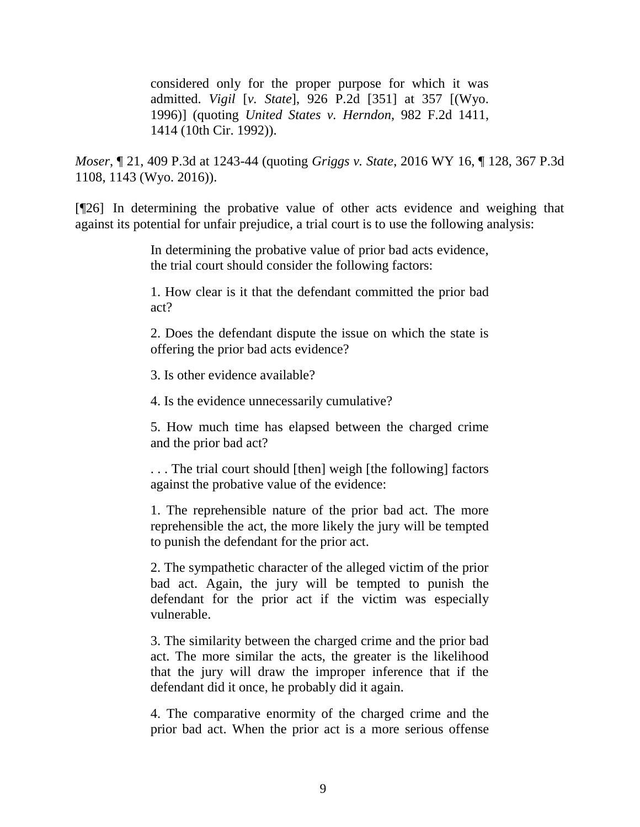considered only for the proper purpose for which it was admitted. *Vigil* [*v. State*[\], 926 P.2d \[351\] at 357 \[\(Wyo.](http://www.westlaw.com/Link/Document/FullText?findType=Y&serNum=1996231137&pubNum=0000661&originatingDoc=Ic63ece100d1111e8a964c4b0adba4447&refType=RP&fi=co_pp_sp_661_357&originationContext=document&vr=3.0&rs=cblt1.0&transitionType=DocumentItem&contextData=(sc.Keycite)#co_pp_sp_661_357)  [1996\)\]](http://www.westlaw.com/Link/Document/FullText?findType=Y&serNum=1996231137&pubNum=0000661&originatingDoc=Ic63ece100d1111e8a964c4b0adba4447&refType=RP&fi=co_pp_sp_661_357&originationContext=document&vr=3.0&rs=cblt1.0&transitionType=DocumentItem&contextData=(sc.Keycite)#co_pp_sp_661_357) (quoting *[United States v. Herndon](http://www.westlaw.com/Link/Document/FullText?findType=Y&serNum=1992211575&pubNum=0000350&originatingDoc=Ic63ece100d1111e8a964c4b0adba4447&refType=RP&fi=co_pp_sp_350_1414&originationContext=document&vr=3.0&rs=cblt1.0&transitionType=DocumentItem&contextData=(sc.Keycite)#co_pp_sp_350_1414)*, 982 F.2d 1411, [1414 \(10th Cir.](http://www.westlaw.com/Link/Document/FullText?findType=Y&serNum=1992211575&pubNum=0000350&originatingDoc=Ic63ece100d1111e8a964c4b0adba4447&refType=RP&fi=co_pp_sp_350_1414&originationContext=document&vr=3.0&rs=cblt1.0&transitionType=DocumentItem&contextData=(sc.Keycite)#co_pp_sp_350_1414) 1992)).

*Moser*, ¶ 21, 409 P.3d at 1243-44 (quoting *Griggs v. State*[, 2016 WY 16, ¶ 128, 367 P.3d](http://www.westlaw.com/Link/Document/FullText?findType=Y&serNum=2038208755&pubNum=0004645&originatingDoc=Ic63ece100d1111e8a964c4b0adba4447&refType=RP&fi=co_pp_sp_4645_1143&originationContext=document&vr=3.0&rs=cblt1.0&transitionType=DocumentItem&contextData=(sc.Keycite)#co_pp_sp_4645_1143)  [1108, 1143 \(Wyo. 2016\)\)](http://www.westlaw.com/Link/Document/FullText?findType=Y&serNum=2038208755&pubNum=0004645&originatingDoc=Ic63ece100d1111e8a964c4b0adba4447&refType=RP&fi=co_pp_sp_4645_1143&originationContext=document&vr=3.0&rs=cblt1.0&transitionType=DocumentItem&contextData=(sc.Keycite)#co_pp_sp_4645_1143).

[¶26] In determining the probative value of other acts evidence and weighing that against its potential for unfair prejudice, a trial court is to use the following analysis:

> In determining the probative value of prior bad acts evidence, the trial court should consider the following factors:

> 1. How clear is it that the defendant committed the prior bad act?

> 2. Does the defendant dispute the issue on which the state is offering the prior bad acts evidence?

3. Is other evidence available?

4. Is the evidence unnecessarily cumulative?

5. How much time has elapsed between the charged crime and the prior bad act?

. . . The trial court should [then] weigh [the following] factors against the probative value of the evidence:

1. The reprehensible nature of the prior bad act. The more reprehensible the act, the more likely the jury will be tempted to punish the defendant for the prior act.

2. The sympathetic character of the alleged victim of the prior bad act. Again, the jury will be tempted to punish the defendant for the prior act if the victim was especially vulnerable.

3. The similarity between the charged crime and the prior bad act. The more similar the acts, the greater is the likelihood that the jury will draw the improper inference that if the defendant did it once, he probably did it again.

4. The comparative enormity of the charged crime and the prior bad act. When the prior act is a more serious offense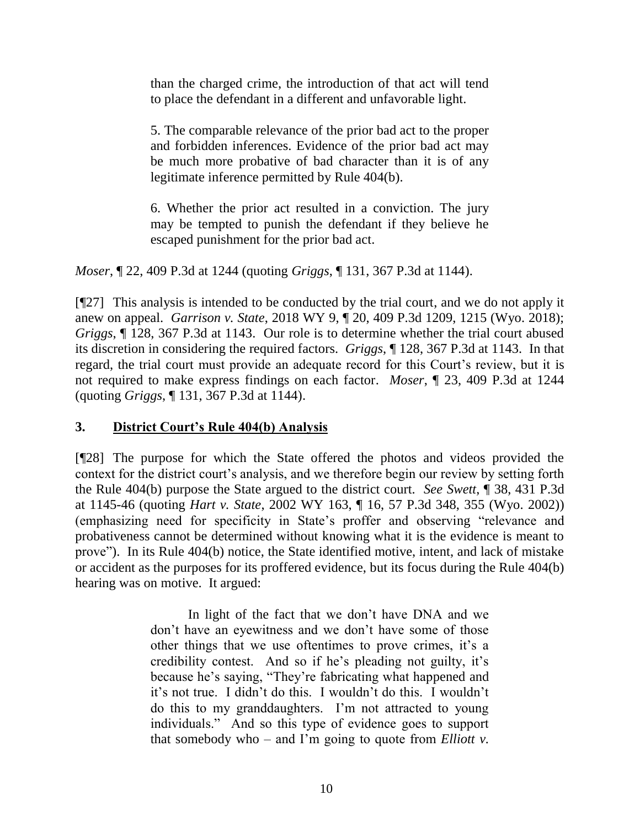than the charged crime, the introduction of that act will tend to place the defendant in a different and unfavorable light.

5. The comparable relevance of the prior bad act to the proper and forbidden inferences. Evidence of the prior bad act may be much more probative of bad character than it is of any legitimate inference permitted by [Rule 404\(b\).](http://www.westlaw.com/Link/Document/FullText?findType=L&pubNum=1008789&cite=WYRREVR404&originatingDoc=Ic63ece100d1111e8a964c4b0adba4447&refType=LQ&originationContext=document&vr=3.0&rs=cblt1.0&transitionType=DocumentItem&contextData=(sc.Keycite))

6. Whether the prior act resulted in a conviction. The jury may be tempted to punish the defendant if they believe he escaped punishment for the prior bad act.

*Moser*, ¶ 22, 409 P.3d at 1244 (quoting *Griggs*, ¶ 131, 367 P.3d at 1144).

[¶27] This analysis is intended to be conducted by the trial court, and we do not apply it anew on appeal. *Garrison v. State*, 2018 WY 9, ¶ 20, 409 P.3d 1209, 1215 (Wyo. 2018); *Griggs*, ¶ 128, 367 P.3d at 1143. Our role is to determine whether the trial court abused its discretion in considering the required factors. *Griggs*, ¶ 128, 367 P.3d at 1143. In that regard, the trial court must provide an adequate record for this Court's review, but it is not required to make express findings on each factor. *Moser*, ¶ 23, 409 P.3d at 1244 (quoting *Griggs*, ¶ 131, 367 P.3d at 1144).

# **3. District Court's Rule 404(b) Analysis**

[¶28] The purpose for which the State offered the photos and videos provided the context for the district court's analysis, and we therefore begin our review by setting forth the Rule 404(b) purpose the State argued to the district court. *See Swett*, ¶ 38, 431 P.3d at 1145-46 (quoting *Hart v. State*[, 2002 WY 163, ¶ 16, 57 P.3d 348, 355](http://www.westlaw.com/Link/Document/FullText?findType=Y&serNum=2002684005&pubNum=0004645&originatingDoc=Ieed105e0059611e9a1b0e6625e646f8f&refType=RP&fi=co_pp_sp_4645_354&originationContext=document&vr=3.0&rs=cblt1.0&transitionType=DocumentItem&contextData=(sc.UserEnteredCitation)#co_pp_sp_4645_354) (Wyo. 2002)) (emphasizing need for specificity in State's proffer and observing "relevance and probativeness cannot be determined without knowing what it is the evidence is meant to prove"). In its Rule 404(b) notice, the State identified motive, intent, and lack of mistake or accident as the purposes for its proffered evidence, but its focus during the Rule 404(b) hearing was on motive. It argued:

> In light of the fact that we don't have DNA and we don't have an eyewitness and we don't have some of those other things that we use oftentimes to prove crimes, it's a credibility contest. And so if he's pleading not guilty, it's because he's saying, "They're fabricating what happened and it's not true. I didn't do this. I wouldn't do this. I wouldn't do this to my granddaughters. I'm not attracted to young individuals." And so this type of evidence goes to support that somebody who – and I'm going to quote from *Elliott v.*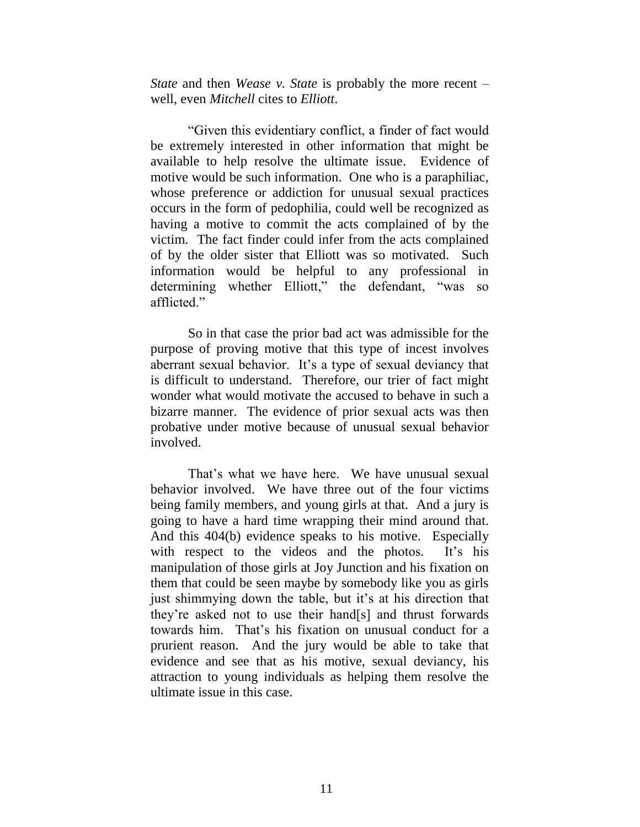*State* and then *Wease v. State* is probably the more recent – well, even *Mitchell* cites to *Elliott*.

"Given this evidentiary conflict, a finder of fact would be extremely interested in other information that might be available to help resolve the ultimate issue. Evidence of motive would be such information. One who is a paraphiliac, whose preference or addiction for unusual sexual practices occurs in the form of pedophilia, could well be recognized as having a motive to commit the acts complained of by the victim. The fact finder could infer from the acts complained of by the older sister that Elliott was so motivated. Such information would be helpful to any professional in determining whether Elliott," the defendant, "was so afflicted."

So in that case the prior bad act was admissible for the purpose of proving motive that this type of incest involves aberrant sexual behavior. It's a type of sexual deviancy that is difficult to understand. Therefore, our trier of fact might wonder what would motivate the accused to behave in such a bizarre manner. The evidence of prior sexual acts was then probative under motive because of unusual sexual behavior involved.

That's what we have here. We have unusual sexual behavior involved. We have three out of the four victims being family members, and young girls at that. And a jury is going to have a hard time wrapping their mind around that. And this 404(b) evidence speaks to his motive. Especially with respect to the videos and the photos. It's his manipulation of those girls at Joy Junction and his fixation on them that could be seen maybe by somebody like you as girls just shimmying down the table, but it's at his direction that they're asked not to use their hand[s] and thrust forwards towards him. That's his fixation on unusual conduct for a prurient reason. And the jury would be able to take that evidence and see that as his motive, sexual deviancy, his attraction to young individuals as helping them resolve the ultimate issue in this case.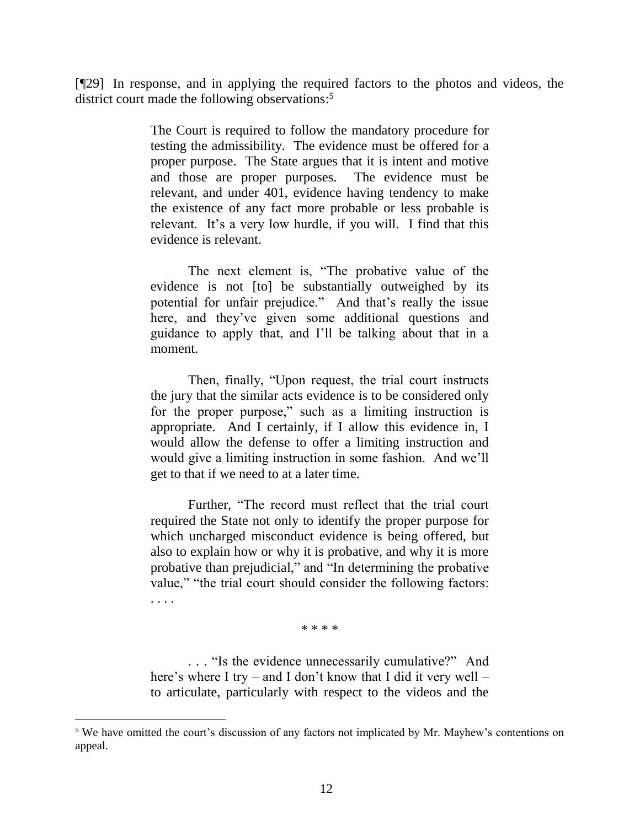[¶29] In response, and in applying the required factors to the photos and videos, the district court made the following observations:<sup>5</sup>

> The Court is required to follow the mandatory procedure for testing the admissibility. The evidence must be offered for a proper purpose. The State argues that it is intent and motive and those are proper purposes. The evidence must be relevant, and under 401, evidence having tendency to make the existence of any fact more probable or less probable is relevant. It's a very low hurdle, if you will. I find that this evidence is relevant.

> The next element is, "The probative value of the evidence is not [to] be substantially outweighed by its potential for unfair prejudice." And that's really the issue here, and they've given some additional questions and guidance to apply that, and I'll be talking about that in a moment.

> Then, finally, "Upon request, the trial court instructs the jury that the similar acts evidence is to be considered only for the proper purpose," such as a limiting instruction is appropriate. And I certainly, if I allow this evidence in, I would allow the defense to offer a limiting instruction and would give a limiting instruction in some fashion. And we'll get to that if we need to at a later time.

> Further, "The record must reflect that the trial court required the State not only to identify the proper purpose for which uncharged misconduct evidence is being offered, but also to explain how or why it is probative, and why it is more probative than prejudicial," and "In determining the probative value," "the trial court should consider the following factors:

> > \* \* \* \*

. . . .

l

. . . "Is the evidence unnecessarily cumulative?" And here's where I try – and I don't know that I did it very well – to articulate, particularly with respect to the videos and the

<sup>&</sup>lt;sup>5</sup> We have omitted the court's discussion of any factors not implicated by Mr. Mayhew's contentions on appeal.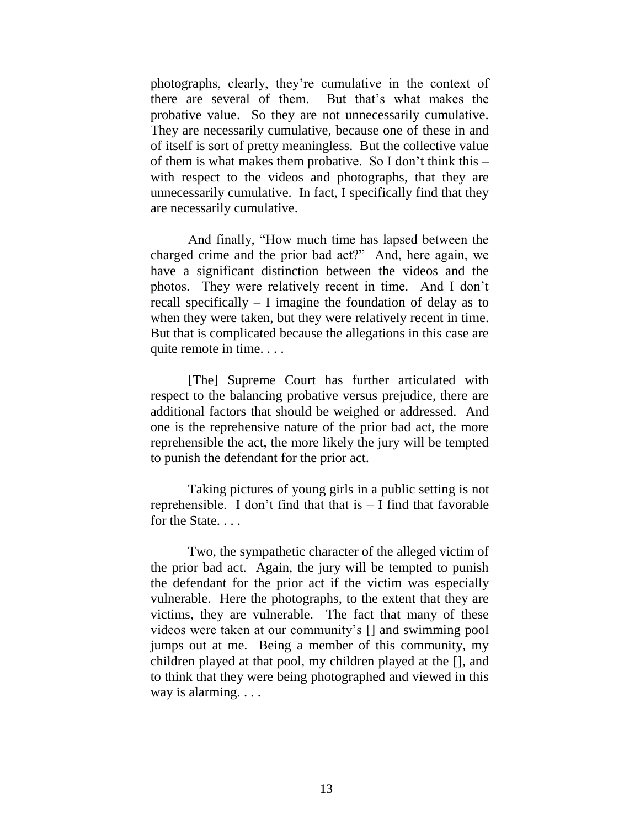photographs, clearly, they're cumulative in the context of there are several of them. But that's what makes the probative value. So they are not unnecessarily cumulative. They are necessarily cumulative, because one of these in and of itself is sort of pretty meaningless. But the collective value of them is what makes them probative. So I don't think this – with respect to the videos and photographs, that they are unnecessarily cumulative. In fact, I specifically find that they are necessarily cumulative.

And finally, "How much time has lapsed between the charged crime and the prior bad act?" And, here again, we have a significant distinction between the videos and the photos. They were relatively recent in time. And I don't recall specifically – I imagine the foundation of delay as to when they were taken, but they were relatively recent in time. But that is complicated because the allegations in this case are quite remote in time. . . .

[The] Supreme Court has further articulated with respect to the balancing probative versus prejudice, there are additional factors that should be weighed or addressed. And one is the reprehensive nature of the prior bad act, the more reprehensible the act, the more likely the jury will be tempted to punish the defendant for the prior act.

Taking pictures of young girls in a public setting is not reprehensible. I don't find that that  $is - I$  find that favorable for the State...

Two, the sympathetic character of the alleged victim of the prior bad act. Again, the jury will be tempted to punish the defendant for the prior act if the victim was especially vulnerable. Here the photographs, to the extent that they are victims, they are vulnerable. The fact that many of these videos were taken at our community's [] and swimming pool jumps out at me. Being a member of this community, my children played at that pool, my children played at the [], and to think that they were being photographed and viewed in this way is alarming. . . .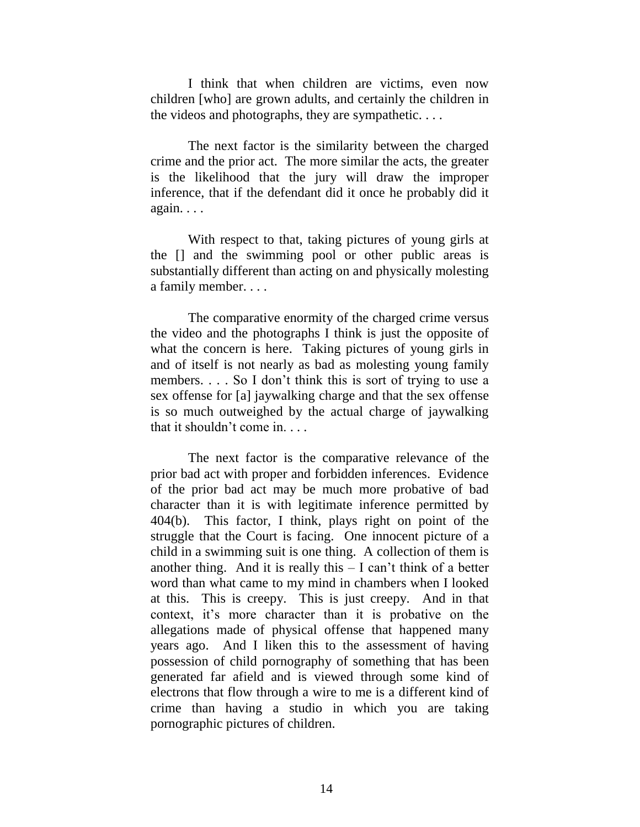I think that when children are victims, even now children [who] are grown adults, and certainly the children in the videos and photographs, they are sympathetic. . . .

The next factor is the similarity between the charged crime and the prior act. The more similar the acts, the greater is the likelihood that the jury will draw the improper inference, that if the defendant did it once he probably did it again. . . .

With respect to that, taking pictures of young girls at the [] and the swimming pool or other public areas is substantially different than acting on and physically molesting a family member. . . .

The comparative enormity of the charged crime versus the video and the photographs I think is just the opposite of what the concern is here. Taking pictures of young girls in and of itself is not nearly as bad as molesting young family members. . . . So I don't think this is sort of trying to use a sex offense for [a] jaywalking charge and that the sex offense is so much outweighed by the actual charge of jaywalking that it shouldn't come in. . . .

The next factor is the comparative relevance of the prior bad act with proper and forbidden inferences. Evidence of the prior bad act may be much more probative of bad character than it is with legitimate inference permitted by 404(b). This factor, I think, plays right on point of the struggle that the Court is facing. One innocent picture of a child in a swimming suit is one thing. A collection of them is another thing. And it is really this  $- I$  can't think of a better word than what came to my mind in chambers when I looked at this. This is creepy. This is just creepy. And in that context, it's more character than it is probative on the allegations made of physical offense that happened many years ago. And I liken this to the assessment of having possession of child pornography of something that has been generated far afield and is viewed through some kind of electrons that flow through a wire to me is a different kind of crime than having a studio in which you are taking pornographic pictures of children.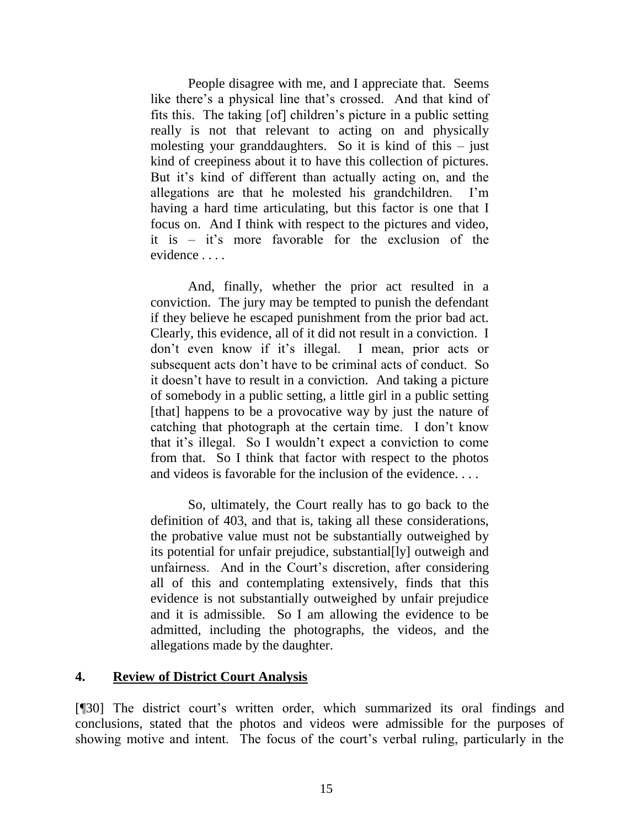People disagree with me, and I appreciate that. Seems like there's a physical line that's crossed. And that kind of fits this. The taking [of] children's picture in a public setting really is not that relevant to acting on and physically molesting your granddaughters. So it is kind of this  $-$  just kind of creepiness about it to have this collection of pictures. But it's kind of different than actually acting on, and the allegations are that he molested his grandchildren. I'm having a hard time articulating, but this factor is one that I focus on. And I think with respect to the pictures and video, it is – it's more favorable for the exclusion of the evidence . . . .

And, finally, whether the prior act resulted in a conviction. The jury may be tempted to punish the defendant if they believe he escaped punishment from the prior bad act. Clearly, this evidence, all of it did not result in a conviction. I don't even know if it's illegal. I mean, prior acts or subsequent acts don't have to be criminal acts of conduct. So it doesn't have to result in a conviction. And taking a picture of somebody in a public setting, a little girl in a public setting [that] happens to be a provocative way by just the nature of catching that photograph at the certain time. I don't know that it's illegal. So I wouldn't expect a conviction to come from that. So I think that factor with respect to the photos and videos is favorable for the inclusion of the evidence. . . .

So, ultimately, the Court really has to go back to the definition of 403, and that is, taking all these considerations, the probative value must not be substantially outweighed by its potential for unfair prejudice, substantial[ly] outweigh and unfairness. And in the Court's discretion, after considering all of this and contemplating extensively, finds that this evidence is not substantially outweighed by unfair prejudice and it is admissible. So I am allowing the evidence to be admitted, including the photographs, the videos, and the allegations made by the daughter.

#### **4. Review of District Court Analysis**

[¶30] The district court's written order, which summarized its oral findings and conclusions, stated that the photos and videos were admissible for the purposes of showing motive and intent. The focus of the court's verbal ruling, particularly in the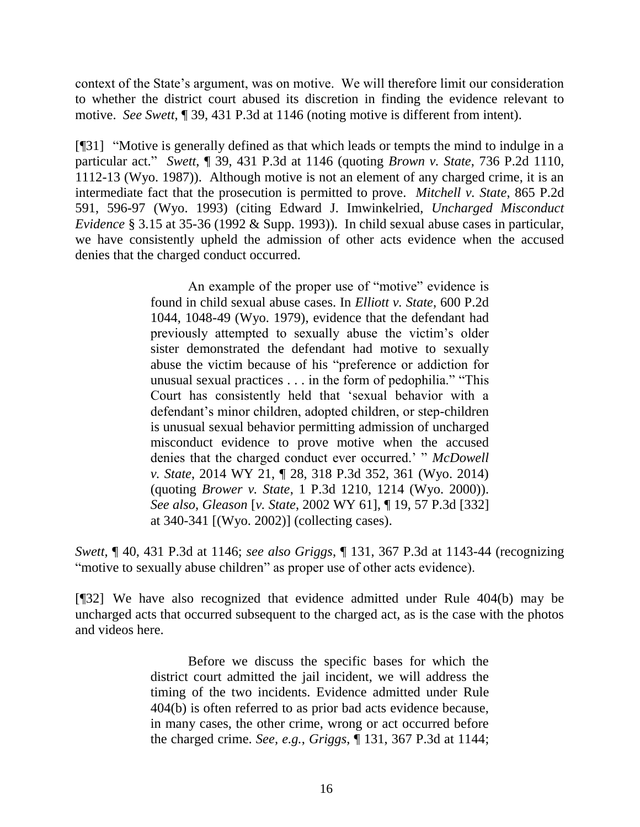context of the State's argument, was on motive. We will therefore limit our consideration to whether the district court abused its discretion in finding the evidence relevant to motive. *See Swett*, ¶ 39, 431 P.3d at 1146 (noting motive is different from intent).

[¶31] "Motive is generally defined as that which leads or tempts the mind to indulge in a particular act." *Swett*, ¶ 39, 431 P.3d at 1146 (quoting *Brown v. State*[, 736 P.2d 1110,](http://www.westlaw.com/Link/Document/FullText?findType=Y&serNum=1987062622&pubNum=0000661&originatingDoc=Ieed105e0059611e9a1b0e6625e646f8f&refType=RP&fi=co_pp_sp_661_1112&originationContext=document&vr=3.0&rs=cblt1.0&transitionType=DocumentItem&contextData=(sc.UserEnteredCitation)#co_pp_sp_661_1112)  [1112-13 \(Wyo. 1987\)\)](http://www.westlaw.com/Link/Document/FullText?findType=Y&serNum=1987062622&pubNum=0000661&originatingDoc=Ieed105e0059611e9a1b0e6625e646f8f&refType=RP&fi=co_pp_sp_661_1112&originationContext=document&vr=3.0&rs=cblt1.0&transitionType=DocumentItem&contextData=(sc.UserEnteredCitation)#co_pp_sp_661_1112). Although motive is not an element of any charged crime, it is an intermediate fact that the prosecution is permitted to prove. *Mitchell v. State*, 865 P.2d 591, 596-97 (Wyo. 1993) (citing Edward J. Imwinkelried, *Uncharged Misconduct Evidence* § 3.15 at 35-36 (1992 & Supp. 1993)). In child sexual abuse cases in particular, we have consistently upheld the admission of other acts evidence when the accused denies that the charged conduct occurred.

> An example of the proper use of "motive" evidence is found in child sexual abuse cases. In *[Elliott v. State](http://www.westlaw.com/Link/Document/FullText?findType=Y&serNum=1979125940&pubNum=0000661&originatingDoc=Ieed105e0059611e9a1b0e6625e646f8f&refType=RP&fi=co_pp_sp_661_1048&originationContext=document&vr=3.0&rs=cblt1.0&transitionType=DocumentItem&contextData=(sc.UserEnteredCitation)#co_pp_sp_661_1048)*, 600 P.2d [1044, 1048-49 \(Wyo. 1979\),](http://www.westlaw.com/Link/Document/FullText?findType=Y&serNum=1979125940&pubNum=0000661&originatingDoc=Ieed105e0059611e9a1b0e6625e646f8f&refType=RP&fi=co_pp_sp_661_1048&originationContext=document&vr=3.0&rs=cblt1.0&transitionType=DocumentItem&contextData=(sc.UserEnteredCitation)#co_pp_sp_661_1048) evidence that the defendant had previously attempted to sexually abuse the victim's older sister demonstrated the defendant had motive to sexually abuse the victim because of his "preference or addiction for unusual sexual practices . . . in the form of pedophilia." "This Court has consistently held that 'sexual behavior with a defendant's minor children, adopted children, or step-children is unusual sexual behavior permitting admission of uncharged misconduct evidence to prove motive when the accused denies that the charged conduct ever occurred.' " *[McDowell](http://www.westlaw.com/Link/Document/FullText?findType=Y&serNum=2032710573&pubNum=0004645&originatingDoc=Ieed105e0059611e9a1b0e6625e646f8f&refType=RP&fi=co_pp_sp_4645_361&originationContext=document&vr=3.0&rs=cblt1.0&transitionType=DocumentItem&contextData=(sc.UserEnteredCitation)#co_pp_sp_4645_361)  v. State*[, 2014 WY 21, ¶ 28, 318 P.3d 352, 361 \(Wyo. 2014\)](http://www.westlaw.com/Link/Document/FullText?findType=Y&serNum=2032710573&pubNum=0004645&originatingDoc=Ieed105e0059611e9a1b0e6625e646f8f&refType=RP&fi=co_pp_sp_4645_361&originationContext=document&vr=3.0&rs=cblt1.0&transitionType=DocumentItem&contextData=(sc.UserEnteredCitation)#co_pp_sp_4645_361) (quoting *Brower v. State*[, 1 P.3d 1210, 1214 \(Wyo. 2000\)\)](http://www.westlaw.com/Link/Document/FullText?findType=Y&serNum=2000079950&pubNum=0004645&originatingDoc=Ieed105e0059611e9a1b0e6625e646f8f&refType=RP&fi=co_pp_sp_4645_1214&originationContext=document&vr=3.0&rs=cblt1.0&transitionType=DocumentItem&contextData=(sc.UserEnteredCitation)#co_pp_sp_4645_1214). *See also*, *Gleason* [*v. State*[, 2002 WY 61\], ¶ 19, 57 P.3d \[332\]](http://www.westlaw.com/Link/Document/FullText?findType=Y&serNum=2002676236&pubNum=0004645&originatingDoc=Ieed105e0059611e9a1b0e6625e646f8f&refType=RP&fi=co_pp_sp_4645_340&originationContext=document&vr=3.0&rs=cblt1.0&transitionType=DocumentItem&contextData=(sc.UserEnteredCitation)#co_pp_sp_4645_340)  [at 340-341](http://www.westlaw.com/Link/Document/FullText?findType=Y&serNum=2002676236&pubNum=0004645&originatingDoc=Ieed105e0059611e9a1b0e6625e646f8f&refType=RP&fi=co_pp_sp_4645_340&originationContext=document&vr=3.0&rs=cblt1.0&transitionType=DocumentItem&contextData=(sc.UserEnteredCitation)#co_pp_sp_4645_340) [(Wyo. 2002)] (collecting cases).

*Swett*, ¶ 40, 431 P.3d at 1146; *see also Griggs*, ¶ 131, 367 P.3d at 1143-44 (recognizing "motive to sexually abuse children" as proper use of other acts evidence).

[¶32] We have also recognized that evidence admitted under Rule 404(b) may be uncharged acts that occurred subsequent to the charged act, as is the case with the photos and videos here.

> Before we discuss the specific bases for which the district court admitted the jail incident, we will address the timing of the two incidents. Evidence admitted under [Rule](http://www.westlaw.com/Link/Document/FullText?findType=L&pubNum=1008789&cite=WYRREVR404&originatingDoc=Ieed105e0059611e9a1b0e6625e646f8f&refType=LQ&originationContext=document&vr=3.0&rs=cblt1.0&transitionType=DocumentItem&contextData=(sc.UserEnteredCitation))  [404\(b\)](http://www.westlaw.com/Link/Document/FullText?findType=L&pubNum=1008789&cite=WYRREVR404&originatingDoc=Ieed105e0059611e9a1b0e6625e646f8f&refType=LQ&originationContext=document&vr=3.0&rs=cblt1.0&transitionType=DocumentItem&contextData=(sc.UserEnteredCitation)) is often referred to as prior bad acts evidence because, in many cases, the other crime, wrong or act occurred before the charged crime. *See, e.g.*, *Griggs*[, ¶ 131, 367 P.3d at 1144;](http://www.westlaw.com/Link/Document/FullText?findType=Y&serNum=2038208755&pubNum=0004645&originatingDoc=Ieed105e0059611e9a1b0e6625e646f8f&refType=RP&fi=co_pp_sp_4645_1144&originationContext=document&vr=3.0&rs=cblt1.0&transitionType=DocumentItem&contextData=(sc.UserEnteredCitation)#co_pp_sp_4645_1144)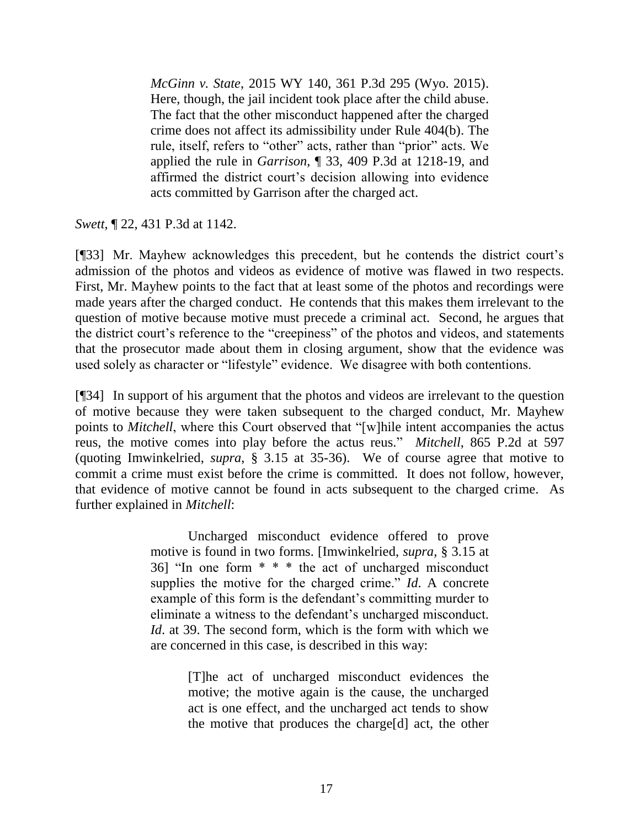*McGinn v. State*[, 2015 WY 140, 361 P.3d 295 \(Wyo. 2015\).](http://www.westlaw.com/Link/Document/FullText?findType=Y&serNum=2037554051&pubNum=0004645&originatingDoc=Ieed105e0059611e9a1b0e6625e646f8f&refType=RP&originationContext=document&vr=3.0&rs=cblt1.0&transitionType=DocumentItem&contextData=(sc.UserEnteredCitation)) Here, though, the jail incident took place after the child abuse. The fact that the other misconduct happened after the charged crime does not affect its admissibility under [Rule 404\(b\).](http://www.westlaw.com/Link/Document/FullText?findType=L&pubNum=1008789&cite=WYRREVR404&originatingDoc=Ieed105e0059611e9a1b0e6625e646f8f&refType=LQ&originationContext=document&vr=3.0&rs=cblt1.0&transitionType=DocumentItem&contextData=(sc.UserEnteredCitation)) The rule, itself, refers to "other" acts, rather than "prior" acts. We applied the rule in *Garrison*[, ¶ 33, 409 P.3d at 1218-19,](http://www.westlaw.com/Link/Document/FullText?findType=Y&serNum=2043775847&pubNum=0004645&originatingDoc=Ieed105e0059611e9a1b0e6625e646f8f&refType=RP&fi=co_pp_sp_4645_1218&originationContext=document&vr=3.0&rs=cblt1.0&transitionType=DocumentItem&contextData=(sc.UserEnteredCitation)#co_pp_sp_4645_1218) and affirmed the district court's decision allowing into evidence acts committed by Garrison after the charged act.

*Swett*, ¶ 22, 431 P.3d at 1142.

[¶33] Mr. Mayhew acknowledges this precedent, but he contends the district court's admission of the photos and videos as evidence of motive was flawed in two respects. First, Mr. Mayhew points to the fact that at least some of the photos and recordings were made years after the charged conduct. He contends that this makes them irrelevant to the question of motive because motive must precede a criminal act. Second, he argues that the district court's reference to the "creepiness" of the photos and videos, and statements that the prosecutor made about them in closing argument, show that the evidence was used solely as character or "lifestyle" evidence. We disagree with both contentions.

[¶34] In support of his argument that the photos and videos are irrelevant to the question of motive because they were taken subsequent to the charged conduct, Mr. Mayhew points to *Mitchell*, where this Court observed that "[w]hile intent accompanies the actus reus, the motive comes into play before the actus reus." *Mitchell*, 865 P.2d at 597 (quoting Imwinkelried, *supra*, § 3.15 at 35-36). We of course agree that motive to commit a crime must exist before the crime is committed. It does not follow, however, that evidence of motive cannot be found in acts subsequent to the charged crime. As further explained in *Mitchell*:

> Uncharged misconduct evidence offered to prove motive is found in two forms. [Imwinkelried, *supra,* § 3.15 at 36] "In one form \* \* \* the act of uncharged misconduct supplies the motive for the charged crime." *Id*. A concrete example of this form is the defendant's committing murder to eliminate a witness to the defendant's uncharged misconduct. *Id*. at 39. The second form, which is the form with which we are concerned in this case, is described in this way:

> > [T]he act of uncharged misconduct evidences the motive; the motive again is the cause, the uncharged act is one effect, and the uncharged act tends to show the motive that produces the charge[d] act, the other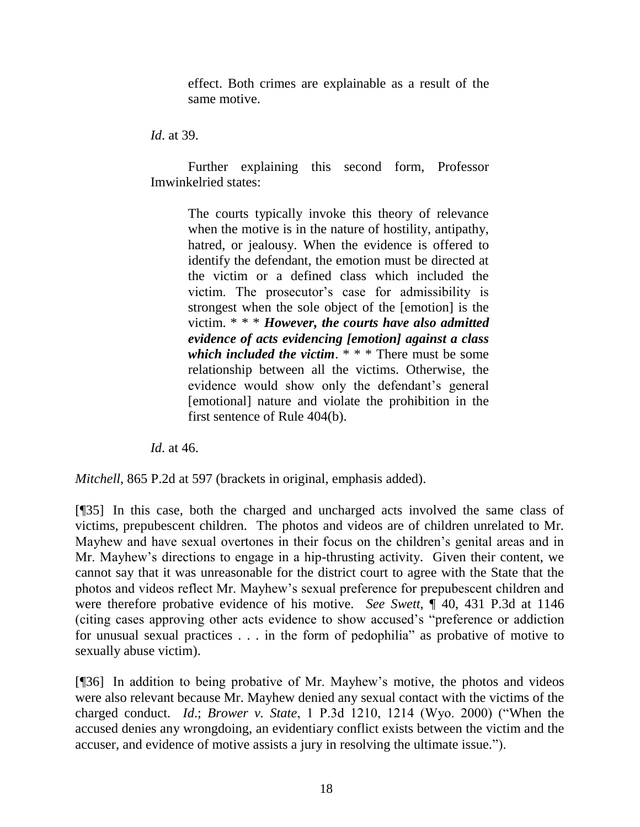effect. Both crimes are explainable as a result of the same motive.

*Id*. at 39.

Further explaining this second form, Professor Imwinkelried states:

> The courts typically invoke this theory of relevance when the motive is in the nature of hostility, antipathy, hatred, or jealousy. When the evidence is offered to identify the defendant, the emotion must be directed at the victim or a defined class which included the victim. The prosecutor's case for admissibility is strongest when the sole object of the [emotion] is the victim. \* \* \* *However, the courts have also admitted evidence of acts evidencing [emotion] against a class which included the victim*. \* \* \* There must be some relationship between all the victims. Otherwise, the evidence would show only the defendant's general [emotional] nature and violate the prohibition in the first sentence of [Rule 404\(b\).](http://www.westlaw.com/Link/Document/FullText?findType=L&pubNum=1008789&cite=WYRREVR404&originatingDoc=Ib1cefab2f59e11d98ac8f235252e36df&refType=LQ&originationContext=document&vr=3.0&rs=cblt1.0&transitionType=DocumentItem&contextData=(sc.UserEnteredCitation))

*Id*. at 46.

*Mitchell*, 865 P.2d at 597 (brackets in original, emphasis added).

[¶35] In this case, both the charged and uncharged acts involved the same class of victims, prepubescent children. The photos and videos are of children unrelated to Mr. Mayhew and have sexual overtones in their focus on the children's genital areas and in Mr. Mayhew's directions to engage in a hip-thrusting activity. Given their content, we cannot say that it was unreasonable for the district court to agree with the State that the photos and videos reflect Mr. Mayhew's sexual preference for prepubescent children and were therefore probative evidence of his motive. *See Swett*, ¶ 40, 431 P.3d at 1146 (citing cases approving other acts evidence to show accused's "preference or addiction for unusual sexual practices . . . in the form of pedophilia" as probative of motive to sexually abuse victim).

[¶36] In addition to being probative of Mr. Mayhew's motive, the photos and videos were also relevant because Mr. Mayhew denied any sexual contact with the victims of the charged conduct. *Id*.; *Brower v. State*, 1 P.3d 1210, 1214 (Wyo. 2000) ("When the accused denies any wrongdoing, an evidentiary conflict exists between the victim and the accuser, and evidence of motive assists a jury in resolving the ultimate issue.").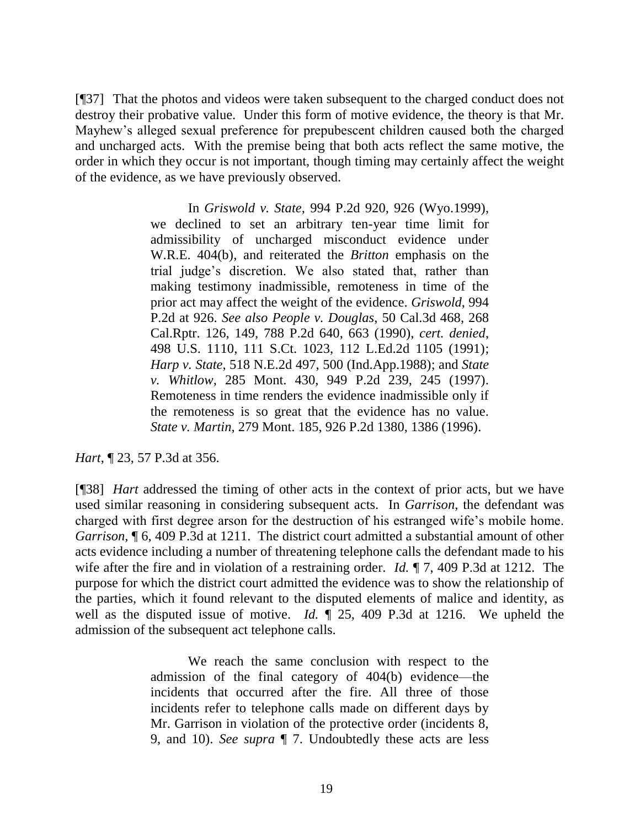[¶37] That the photos and videos were taken subsequent to the charged conduct does not destroy their probative value. Under this form of motive evidence, the theory is that Mr. Mayhew's alleged sexual preference for prepubescent children caused both the charged and uncharged acts. With the premise being that both acts reflect the same motive, the order in which they occur is not important, though timing may certainly affect the weight of the evidence, as we have previously observed.

> In *Griswold v. State*[, 994 P.2d 920, 926 \(Wyo.1999\),](http://www.westlaw.com/Link/Document/FullText?findType=Y&serNum=1999284477&pubNum=0000661&originatingDoc=Ia24ce9a3f53d11d9bf60c1d57ebc853e&refType=RP&fi=co_pp_sp_661_926&originationContext=document&vr=3.0&rs=cblt1.0&transitionType=DocumentItem&contextData=(sc.DocLink)#co_pp_sp_661_926) we declined to set an arbitrary ten-year time limit for admissibility of uncharged misconduct evidence under [W.R.E. 404\(b\),](http://www.westlaw.com/Link/Document/FullText?findType=L&pubNum=1008789&cite=WYRREVR404&originatingDoc=Ia24ce9a3f53d11d9bf60c1d57ebc853e&refType=LQ&originationContext=document&vr=3.0&rs=cblt1.0&transitionType=DocumentItem&contextData=(sc.DocLink)) and reiterated the *Britton* emphasis on the trial judge's discretion. We also stated that, rather than making testimony inadmissible, remoteness in time of the prior act may affect the weight of the evidence. *[Griswold](http://www.westlaw.com/Link/Document/FullText?findType=Y&serNum=1999284477&pubNum=661&originatingDoc=Ia24ce9a3f53d11d9bf60c1d57ebc853e&refType=RP&fi=co_pp_sp_661_926&originationContext=document&vr=3.0&rs=cblt1.0&transitionType=DocumentItem&contextData=(sc.DocLink)#co_pp_sp_661_926)*, 994 [P.2d at 926.](http://www.westlaw.com/Link/Document/FullText?findType=Y&serNum=1999284477&pubNum=661&originatingDoc=Ia24ce9a3f53d11d9bf60c1d57ebc853e&refType=RP&fi=co_pp_sp_661_926&originationContext=document&vr=3.0&rs=cblt1.0&transitionType=DocumentItem&contextData=(sc.DocLink)#co_pp_sp_661_926) *See also People v. Douglas*[, 50 Cal.3d 468, 268](http://www.westlaw.com/Link/Document/FullText?findType=Y&serNum=1990059832&pubNum=0000661&originatingDoc=Ia24ce9a3f53d11d9bf60c1d57ebc853e&refType=RP&fi=co_pp_sp_661_663&originationContext=document&vr=3.0&rs=cblt1.0&transitionType=DocumentItem&contextData=(sc.DocLink)#co_pp_sp_661_663)  [Cal.Rptr. 126, 149, 788 P.2d 640, 663 \(1990\),](http://www.westlaw.com/Link/Document/FullText?findType=Y&serNum=1990059832&pubNum=0000661&originatingDoc=Ia24ce9a3f53d11d9bf60c1d57ebc853e&refType=RP&fi=co_pp_sp_661_663&originationContext=document&vr=3.0&rs=cblt1.0&transitionType=DocumentItem&contextData=(sc.DocLink)#co_pp_sp_661_663) *cert. denied*, [498 U.S. 1110, 111 S.Ct. 1023, 112 L.Ed.2d 1105 \(1991\);](http://www.westlaw.com/Link/Document/FullText?findType=Y&serNum=1990173235&pubNum=0000708&originatingDoc=Ia24ce9a3f53d11d9bf60c1d57ebc853e&refType=RP&originationContext=document&vr=3.0&rs=cblt1.0&transitionType=DocumentItem&contextData=(sc.DocLink)) *Harp v. State*[, 518 N.E.2d 497, 500 \(Ind.App.1988\);](http://www.westlaw.com/Link/Document/FullText?findType=Y&serNum=1988016085&pubNum=0000578&originatingDoc=Ia24ce9a3f53d11d9bf60c1d57ebc853e&refType=RP&fi=co_pp_sp_578_500&originationContext=document&vr=3.0&rs=cblt1.0&transitionType=DocumentItem&contextData=(sc.DocLink)#co_pp_sp_578_500) and *[State](http://www.westlaw.com/Link/Document/FullText?findType=Y&serNum=1997234181&pubNum=0000661&originatingDoc=Ia24ce9a3f53d11d9bf60c1d57ebc853e&refType=RP&fi=co_pp_sp_661_245&originationContext=document&vr=3.0&rs=cblt1.0&transitionType=DocumentItem&contextData=(sc.DocLink)#co_pp_sp_661_245)  v. Whitlow*[, 285 Mont. 430, 949 P.2d 239, 245 \(1997\).](http://www.westlaw.com/Link/Document/FullText?findType=Y&serNum=1997234181&pubNum=0000661&originatingDoc=Ia24ce9a3f53d11d9bf60c1d57ebc853e&refType=RP&fi=co_pp_sp_661_245&originationContext=document&vr=3.0&rs=cblt1.0&transitionType=DocumentItem&contextData=(sc.DocLink)#co_pp_sp_661_245) Remoteness in time renders the evidence inadmissible only if the remoteness is so great that the evidence has no value. *State v. Martin*[, 279 Mont. 185, 926 P.2d 1380, 1386 \(1996\).](http://www.westlaw.com/Link/Document/FullText?findType=Y&serNum=1996255098&pubNum=0000661&originatingDoc=Ia24ce9a3f53d11d9bf60c1d57ebc853e&refType=RP&fi=co_pp_sp_661_1386&originationContext=document&vr=3.0&rs=cblt1.0&transitionType=DocumentItem&contextData=(sc.DocLink)#co_pp_sp_661_1386)

*Hart*, ¶ 23, 57 P.3d at 356.

[¶38] *Hart* addressed the timing of other acts in the context of prior acts, but we have used similar reasoning in considering subsequent acts. In *Garrison*, the defendant was charged with first degree arson for the destruction of his estranged wife's mobile home. *Garrison*, ¶ 6, 409 P.3d at 1211. The district court admitted a substantial amount of other acts evidence including a number of threatening telephone calls the defendant made to his wife after the fire and in violation of a restraining order. *Id.* ¶ 7, 409 P.3d at 1212. The purpose for which the district court admitted the evidence was to show the relationship of the parties, which it found relevant to the disputed elements of malice and identity, as well as the disputed issue of motive. *Id.* ¶ 25, 409 P.3d at 1216. We upheld the admission of the subsequent act telephone calls.

> We reach the same conclusion with respect to the admission of the final category of 404(b) evidence—the incidents that occurred after the fire. All three of those incidents refer to telephone calls made on different days by Mr. Garrison in violation of the protective order (incidents 8, 9, and 10). *See supra* ¶ 7. Undoubtedly these acts are less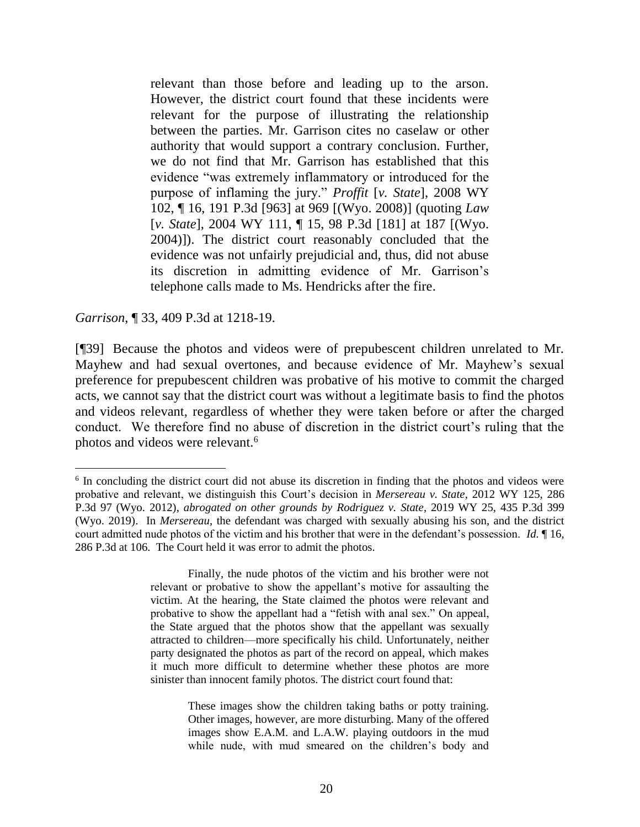relevant than those before and leading up to the arson. However, the district court found that these incidents were relevant for the purpose of illustrating the relationship between the parties. Mr. Garrison cites no caselaw or other authority that would support a contrary conclusion. Further, we do not find that Mr. Garrison has established that this evidence "was extremely inflammatory or introduced for the purpose of inflaming the jury." *Proffit* [*v. State*[\], 2008 WY](http://www.westlaw.com/Link/Document/FullText?findType=Y&serNum=2016864592&pubNum=0004645&originatingDoc=Iea595bd00d1111e8a964c4b0adba4447&refType=RP&fi=co_pp_sp_4645_969&originationContext=document&vr=3.0&rs=cblt1.0&transitionType=DocumentItem&contextData=(sc.UserEnteredCitation)#co_pp_sp_4645_969)  [102, ¶ 16, 191 P.3d](http://www.westlaw.com/Link/Document/FullText?findType=Y&serNum=2016864592&pubNum=0004645&originatingDoc=Iea595bd00d1111e8a964c4b0adba4447&refType=RP&fi=co_pp_sp_4645_969&originationContext=document&vr=3.0&rs=cblt1.0&transitionType=DocumentItem&contextData=(sc.UserEnteredCitation)#co_pp_sp_4645_969) [963] at 969 [(Wyo. 2008)] (quoting *[Law](http://www.westlaw.com/Link/Document/FullText?findType=Y&serNum=2005139511&pubNum=0004645&originatingDoc=Iea595bd00d1111e8a964c4b0adba4447&refType=RP&fi=co_pp_sp_4645_187&originationContext=document&vr=3.0&rs=cblt1.0&transitionType=DocumentItem&contextData=(sc.UserEnteredCitation)#co_pp_sp_4645_187)* [*v. State*[\], 2004 WY 111, ¶ 15, 98 P.3d \[181\]](http://www.westlaw.com/Link/Document/FullText?findType=Y&serNum=2005139511&pubNum=0004645&originatingDoc=Iea595bd00d1111e8a964c4b0adba4447&refType=RP&fi=co_pp_sp_4645_187&originationContext=document&vr=3.0&rs=cblt1.0&transitionType=DocumentItem&contextData=(sc.UserEnteredCitation)#co_pp_sp_4645_187) at 187 [(Wyo. 2004)]). The district court reasonably concluded that the evidence was not unfairly prejudicial and, thus, did not abuse its discretion in admitting evidence of Mr. Garrison's telephone calls made to Ms. Hendricks after the fire.

*Garrison*, ¶ 33, 409 P.3d at 1218-19.

l

[¶39] Because the photos and videos were of prepubescent children unrelated to Mr. Mayhew and had sexual overtones, and because evidence of Mr. Mayhew's sexual preference for prepubescent children was probative of his motive to commit the charged acts, we cannot say that the district court was without a legitimate basis to find the photos and videos relevant, regardless of whether they were taken before or after the charged conduct. We therefore find no abuse of discretion in the district court's ruling that the photos and videos were relevant.<sup>6</sup>

<sup>&</sup>lt;sup>6</sup> In concluding the district court did not abuse its discretion in finding that the photos and videos were probative and relevant, we distinguish this Court's decision in *Mersereau v. State*, 2012 WY 125, 286 P.3d 97 (Wyo. 2012), *abrogated on other grounds by Rodriguez v. State*, 2019 WY 25, 435 P.3d 399 (Wyo. 2019). In *Mersereau*, the defendant was charged with sexually abusing his son, and the district court admitted nude photos of the victim and his brother that were in the defendant's possession. *Id.* ¶ 16, 286 P.3d at 106. The Court held it was error to admit the photos.

Finally, the nude photos of the victim and his brother were not relevant or probative to show the appellant's motive for assaulting the victim. At the hearing, the State claimed the photos were relevant and probative to show the appellant had a "fetish with anal sex." On appeal, the State argued that the photos show that the appellant was sexually attracted to children—more specifically his child. Unfortunately, neither party designated the photos as part of the record on appeal, which makes it much more difficult to determine whether these photos are more sinister than innocent family photos. The district court found that:

These images show the children taking baths or potty training. Other images, however, are more disturbing. Many of the offered images show E.A.M. and L.A.W. playing outdoors in the mud while nude, with mud smeared on the children's body and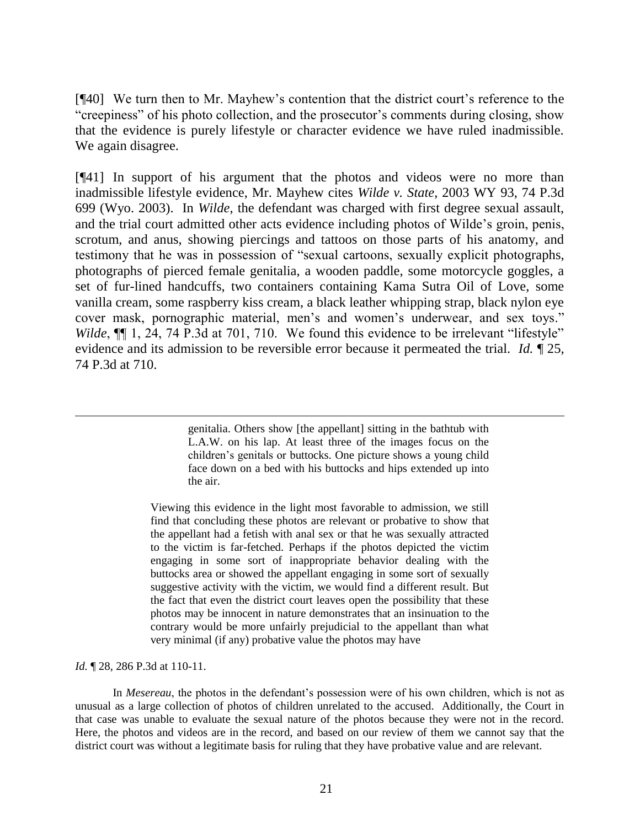[¶40] We turn then to Mr. Mayhew's contention that the district court's reference to the "creepiness" of his photo collection, and the prosecutor's comments during closing, show that the evidence is purely lifestyle or character evidence we have ruled inadmissible. We again disagree.

[¶41] In support of his argument that the photos and videos were no more than inadmissible lifestyle evidence, Mr. Mayhew cites *Wilde v. State*, 2003 WY 93, 74 P.3d 699 (Wyo. 2003). In *Wilde*, the defendant was charged with first degree sexual assault, and the trial court admitted other acts evidence including photos of Wilde's groin, penis, scrotum, and anus, showing piercings and tattoos on those parts of his anatomy, and testimony that he was in possession of "sexual cartoons, sexually explicit photographs, photographs of pierced female genitalia, a wooden paddle, some motorcycle goggles, a set of fur-lined handcuffs, two containers containing Kama Sutra Oil of Love, some vanilla cream, some raspberry kiss cream, a black leather whipping strap, black nylon eye cover mask, pornographic material, men's and women's underwear, and sex toys." *Wilde*,  $\P\P$  1, 24, 74 P.3d at 701, 710. We found this evidence to be irrelevant "lifestyle" evidence and its admission to be reversible error because it permeated the trial. *Id.* ¶ 25, 74 P.3d at 710.

> genitalia. Others show [the appellant] sitting in the bathtub with L.A.W. on his lap. At least three of the images focus on the children's genitals or buttocks. One picture shows a young child face down on a bed with his buttocks and hips extended up into the air.

Viewing this evidence in the light most favorable to admission, we still find that concluding these photos are relevant or probative to show that the appellant had a fetish with anal sex or that he was sexually attracted to the victim is far-fetched. Perhaps if the photos depicted the victim engaging in some sort of inappropriate behavior dealing with the buttocks area or showed the appellant engaging in some sort of sexually suggestive activity with the victim, we would find a different result. But the fact that even the district court leaves open the possibility that these photos may be innocent in nature demonstrates that an insinuation to the contrary would be more unfairly prejudicial to the appellant than what very minimal (if any) probative value the photos may have

*Id.* 128, 286 P.3d at 110-11.

 $\overline{a}$ 

In *Mesereau*, the photos in the defendant's possession were of his own children, which is not as unusual as a large collection of photos of children unrelated to the accused. Additionally, the Court in that case was unable to evaluate the sexual nature of the photos because they were not in the record. Here, the photos and videos are in the record, and based on our review of them we cannot say that the district court was without a legitimate basis for ruling that they have probative value and are relevant.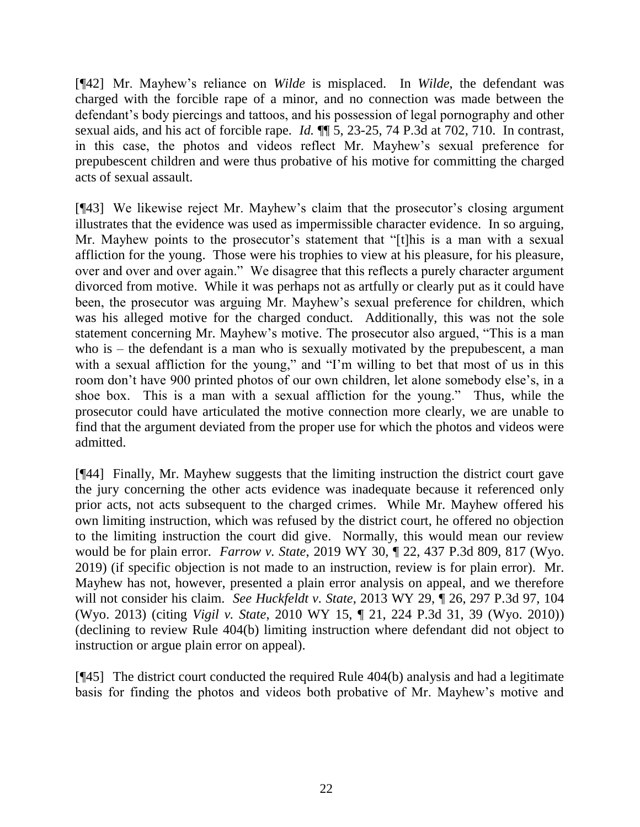[¶42] Mr. Mayhew's reliance on *Wilde* is misplaced. In *Wilde*, the defendant was charged with the forcible rape of a minor, and no connection was made between the defendant's body piercings and tattoos, and his possession of legal pornography and other sexual aids, and his act of forcible rape. *Id.* ¶¶ 5, 23-25, 74 P.3d at 702, 710. In contrast, in this case, the photos and videos reflect Mr. Mayhew's sexual preference for prepubescent children and were thus probative of his motive for committing the charged acts of sexual assault.

[¶43] We likewise reject Mr. Mayhew's claim that the prosecutor's closing argument illustrates that the evidence was used as impermissible character evidence. In so arguing, Mr. Mayhew points to the prosecutor's statement that "[t]his is a man with a sexual affliction for the young. Those were his trophies to view at his pleasure, for his pleasure, over and over and over again." We disagree that this reflects a purely character argument divorced from motive. While it was perhaps not as artfully or clearly put as it could have been, the prosecutor was arguing Mr. Mayhew's sexual preference for children, which was his alleged motive for the charged conduct. Additionally, this was not the sole statement concerning Mr. Mayhew's motive. The prosecutor also argued, "This is a man who is – the defendant is a man who is sexually motivated by the prepubescent, a man with a sexual affliction for the young," and "I'm willing to bet that most of us in this room don't have 900 printed photos of our own children, let alone somebody else's, in a shoe box. This is a man with a sexual affliction for the young." Thus, while the prosecutor could have articulated the motive connection more clearly, we are unable to find that the argument deviated from the proper use for which the photos and videos were admitted.

[¶44] Finally, Mr. Mayhew suggests that the limiting instruction the district court gave the jury concerning the other acts evidence was inadequate because it referenced only prior acts, not acts subsequent to the charged crimes. While Mr. Mayhew offered his own limiting instruction, which was refused by the district court, he offered no objection to the limiting instruction the court did give. Normally, this would mean our review would be for plain error. *Farrow v. State*, 2019 WY 30, ¶ 22, 437 P.3d 809, 817 (Wyo. 2019) (if specific objection is not made to an instruction, review is for plain error). Mr. Mayhew has not, however, presented a plain error analysis on appeal, and we therefore will not consider his claim. *See Huckfeldt v. State*, 2013 WY 29, ¶ 26, 297 P.3d 97, 104 (Wyo. 2013) (citing *Vigil v. State*[, 2010 WY 15, ¶ 21, 224 P.3d 31, 39 \(Wyo. 2010\)\)](http://www.westlaw.com/Link/Document/FullText?findType=Y&serNum=2021353438&pubNum=0004645&originatingDoc=Iecd7bd628bfb11e2bae99fc449e7cd17&refType=RP&fi=co_pp_sp_4645_38&originationContext=document&vr=3.0&rs=cblt1.0&transitionType=DocumentItem&contextData=(sc.Search)#co_pp_sp_4645_38) (declining to review Rule 404(b) limiting instruction where defendant did not object to instruction or argue plain error on appeal).

[¶45] The district court conducted the required Rule 404(b) analysis and had a legitimate basis for finding the photos and videos both probative of Mr. Mayhew's motive and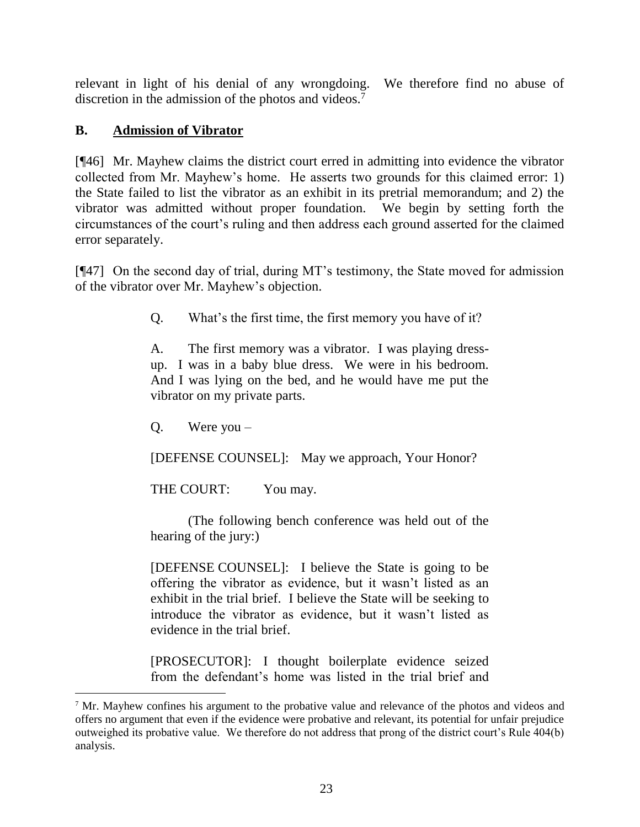relevant in light of his denial of any wrongdoing. We therefore find no abuse of discretion in the admission of the photos and videos.<sup>7</sup>

# **B. Admission of Vibrator**

[¶46] Mr. Mayhew claims the district court erred in admitting into evidence the vibrator collected from Mr. Mayhew's home. He asserts two grounds for this claimed error: 1) the State failed to list the vibrator as an exhibit in its pretrial memorandum; and 2) the vibrator was admitted without proper foundation. We begin by setting forth the circumstances of the court's ruling and then address each ground asserted for the claimed error separately.

[¶47] On the second day of trial, during MT's testimony, the State moved for admission of the vibrator over Mr. Mayhew's objection.

Q. What's the first time, the first memory you have of it?

A. The first memory was a vibrator. I was playing dressup. I was in a baby blue dress. We were in his bedroom. And I was lying on the bed, and he would have me put the vibrator on my private parts.

Q. Were you –

[DEFENSE COUNSEL]: May we approach, Your Honor?

THE COURT: You may.

(The following bench conference was held out of the hearing of the jury:)

[DEFENSE COUNSEL]: I believe the State is going to be offering the vibrator as evidence, but it wasn't listed as an exhibit in the trial brief. I believe the State will be seeking to introduce the vibrator as evidence, but it wasn't listed as evidence in the trial brief.

[PROSECUTOR]: I thought boilerplate evidence seized from the defendant's home was listed in the trial brief and

<sup>&</sup>lt;sup>7</sup> Mr. Mayhew confines his argument to the probative value and relevance of the photos and videos and offers no argument that even if the evidence were probative and relevant, its potential for unfair prejudice outweighed its probative value. We therefore do not address that prong of the district court's Rule 404(b) analysis.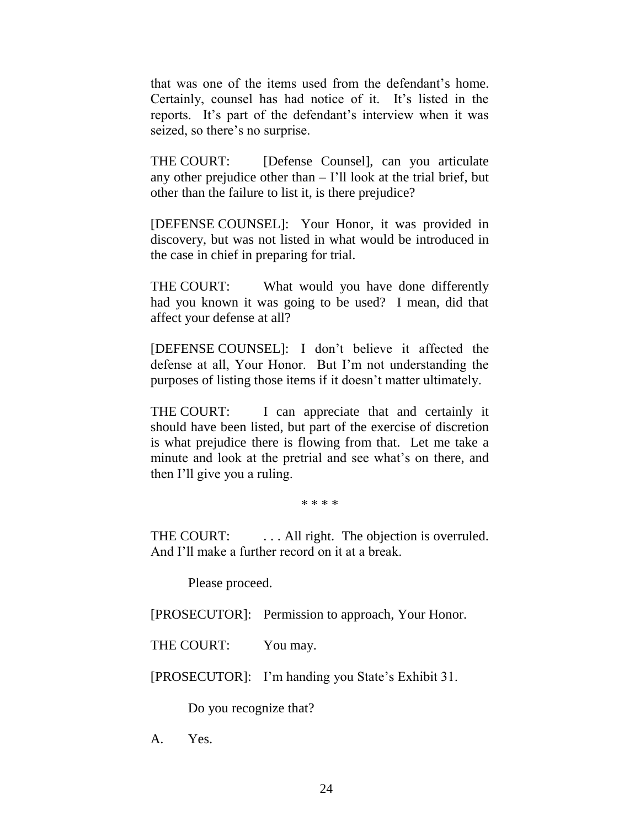that was one of the items used from the defendant's home. Certainly, counsel has had notice of it. It's listed in the reports. It's part of the defendant's interview when it was seized, so there's no surprise.

THE COURT: [Defense Counsel], can you articulate any other prejudice other than  $-$  I'll look at the trial brief, but other than the failure to list it, is there prejudice?

[DEFENSE COUNSEL]: Your Honor, it was provided in discovery, but was not listed in what would be introduced in the case in chief in preparing for trial.

THE COURT: What would you have done differently had you known it was going to be used? I mean, did that affect your defense at all?

[DEFENSE COUNSEL]: I don't believe it affected the defense at all, Your Honor. But I'm not understanding the purposes of listing those items if it doesn't matter ultimately.

THE COURT: I can appreciate that and certainly it should have been listed, but part of the exercise of discretion is what prejudice there is flowing from that. Let me take a minute and look at the pretrial and see what's on there, and then I'll give you a ruling.

\* \* \* \*

THE COURT: ... All right. The objection is overruled. And I'll make a further record on it at a break.

Please proceed.

[PROSECUTOR]: Permission to approach, Your Honor.

THE COURT: You may.

[PROSECUTOR]: I'm handing you State's Exhibit 31.

Do you recognize that?

A. Yes.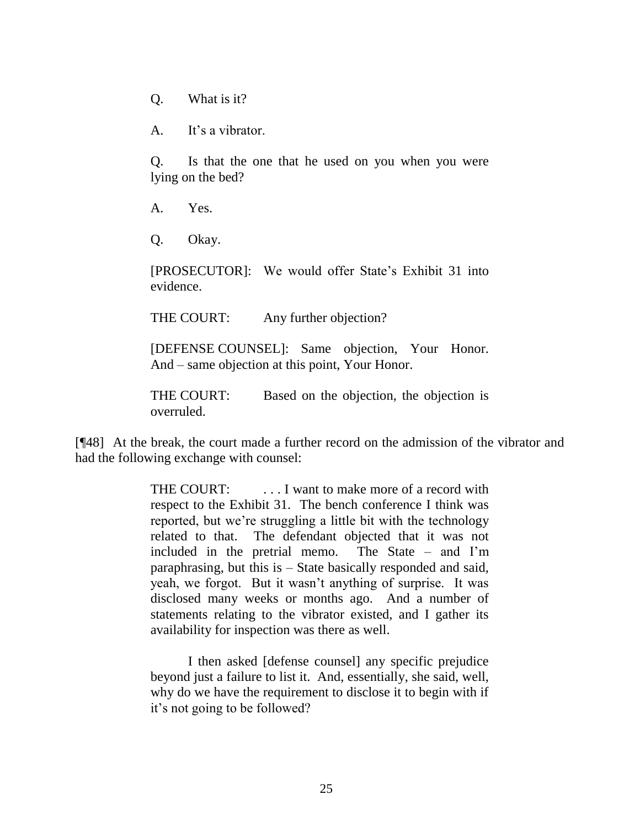Q. What is it?

A. It's a vibrator.

Q. Is that the one that he used on you when you were lying on the bed?

A. Yes.

Q. Okay.

[PROSECUTOR]: We would offer State's Exhibit 31 into evidence.

THE COURT: Any further objection?

[DEFENSE COUNSEL]: Same objection, Your Honor. And – same objection at this point, Your Honor.

THE COURT: Based on the objection, the objection is overruled.

[¶48] At the break, the court made a further record on the admission of the vibrator and had the following exchange with counsel:

> THE COURT: ... I want to make more of a record with respect to the Exhibit 31. The bench conference I think was reported, but we're struggling a little bit with the technology related to that. The defendant objected that it was not included in the pretrial memo. The State – and I'm paraphrasing, but this is – State basically responded and said, yeah, we forgot. But it wasn't anything of surprise. It was disclosed many weeks or months ago. And a number of statements relating to the vibrator existed, and I gather its availability for inspection was there as well.

> I then asked [defense counsel] any specific prejudice beyond just a failure to list it. And, essentially, she said, well, why do we have the requirement to disclose it to begin with if it's not going to be followed?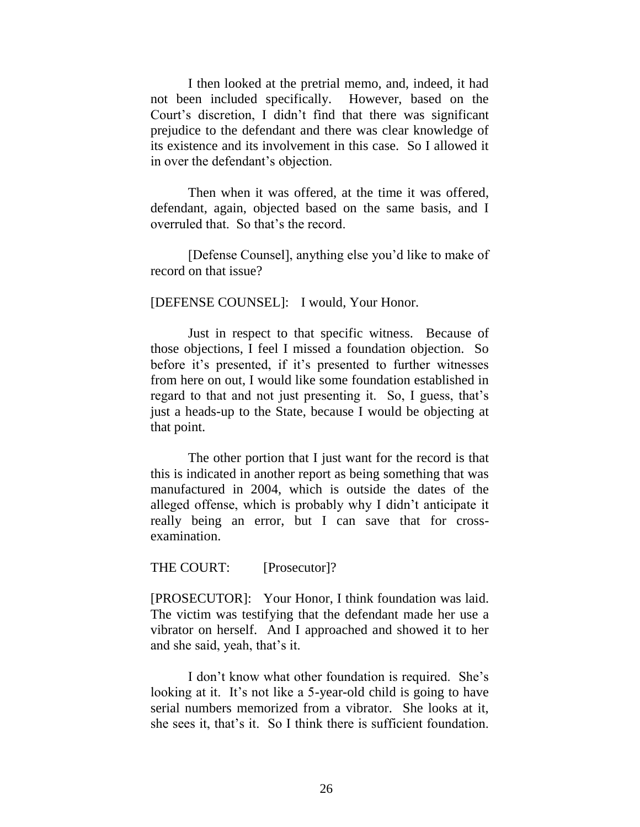I then looked at the pretrial memo, and, indeed, it had not been included specifically. However, based on the Court's discretion, I didn't find that there was significant prejudice to the defendant and there was clear knowledge of its existence and its involvement in this case. So I allowed it in over the defendant's objection.

Then when it was offered, at the time it was offered, defendant, again, objected based on the same basis, and I overruled that. So that's the record.

[Defense Counsel], anything else you'd like to make of record on that issue?

#### [DEFENSE COUNSEL]: I would, Your Honor.

Just in respect to that specific witness. Because of those objections, I feel I missed a foundation objection. So before it's presented, if it's presented to further witnesses from here on out, I would like some foundation established in regard to that and not just presenting it. So, I guess, that's just a heads-up to the State, because I would be objecting at that point.

The other portion that I just want for the record is that this is indicated in another report as being something that was manufactured in 2004, which is outside the dates of the alleged offense, which is probably why I didn't anticipate it really being an error, but I can save that for crossexamination.

#### THE COURT: [Prosecutor]?

[PROSECUTOR]: Your Honor, I think foundation was laid. The victim was testifying that the defendant made her use a vibrator on herself. And I approached and showed it to her and she said, yeah, that's it.

I don't know what other foundation is required. She's looking at it. It's not like a 5-year-old child is going to have serial numbers memorized from a vibrator. She looks at it, she sees it, that's it. So I think there is sufficient foundation.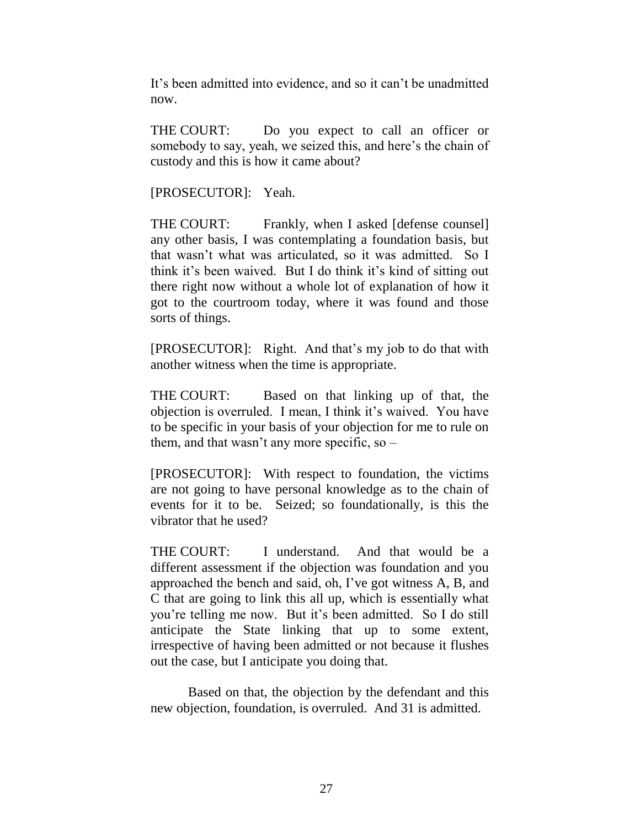It's been admitted into evidence, and so it can't be unadmitted now.

THE COURT: Do you expect to call an officer or somebody to say, yeah, we seized this, and here's the chain of custody and this is how it came about?

[PROSECUTOR]: Yeah.

THE COURT: Frankly, when I asked [defense counsel] any other basis, I was contemplating a foundation basis, but that wasn't what was articulated, so it was admitted. So I think it's been waived. But I do think it's kind of sitting out there right now without a whole lot of explanation of how it got to the courtroom today, where it was found and those sorts of things.

[PROSECUTOR]: Right. And that's my job to do that with another witness when the time is appropriate.

THE COURT: Based on that linking up of that, the objection is overruled. I mean, I think it's waived. You have to be specific in your basis of your objection for me to rule on them, and that wasn't any more specific, so –

[PROSECUTOR]: With respect to foundation, the victims are not going to have personal knowledge as to the chain of events for it to be. Seized; so foundationally, is this the vibrator that he used?

THE COURT: I understand. And that would be a different assessment if the objection was foundation and you approached the bench and said, oh, I've got witness A, B, and C that are going to link this all up, which is essentially what you're telling me now. But it's been admitted. So I do still anticipate the State linking that up to some extent, irrespective of having been admitted or not because it flushes out the case, but I anticipate you doing that.

Based on that, the objection by the defendant and this new objection, foundation, is overruled. And 31 is admitted.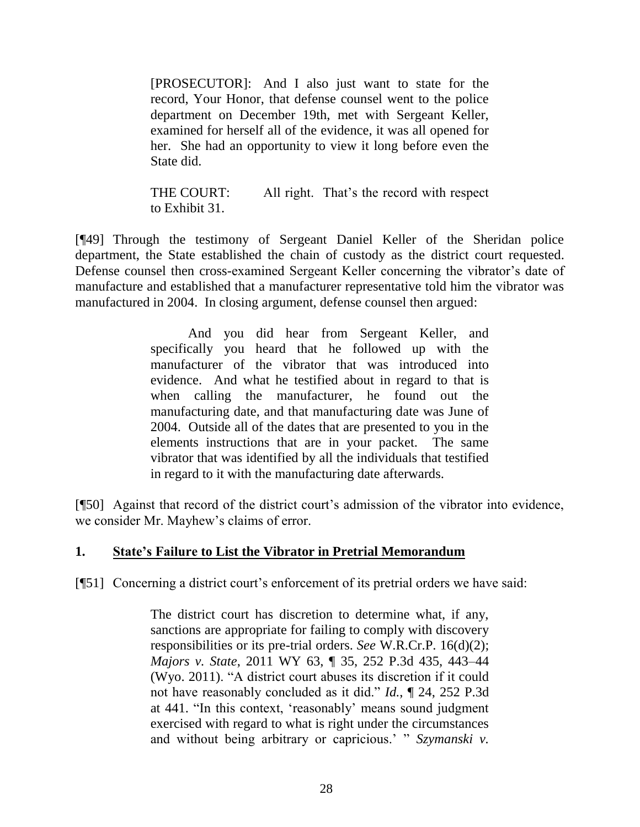[PROSECUTOR]: And I also just want to state for the record, Your Honor, that defense counsel went to the police department on December 19th, met with Sergeant Keller, examined for herself all of the evidence, it was all opened for her. She had an opportunity to view it long before even the State did.

THE COURT: All right. That's the record with respect to Exhibit 31.

[¶49] Through the testimony of Sergeant Daniel Keller of the Sheridan police department, the State established the chain of custody as the district court requested. Defense counsel then cross-examined Sergeant Keller concerning the vibrator's date of manufacture and established that a manufacturer representative told him the vibrator was manufactured in 2004. In closing argument, defense counsel then argued:

> And you did hear from Sergeant Keller, and specifically you heard that he followed up with the manufacturer of the vibrator that was introduced into evidence. And what he testified about in regard to that is when calling the manufacturer, he found out the manufacturing date, and that manufacturing date was June of 2004. Outside all of the dates that are presented to you in the elements instructions that are in your packet. The same vibrator that was identified by all the individuals that testified in regard to it with the manufacturing date afterwards.

[¶50] Against that record of the district court's admission of the vibrator into evidence, we consider Mr. Mayhew's claims of error.

# **1. State's Failure to List the Vibrator in Pretrial Memorandum**

[¶51] Concerning a district court's enforcement of its pretrial orders we have said:

The district court has discretion to determine what, if any, sanctions are appropriate for failing to comply with discovery responsibilities or its pre-trial orders. *See* [W.R.Cr.P. 16\(d\)\(2\);](http://www.westlaw.com/Link/Document/FullText?findType=L&pubNum=1008764&cite=WYRRCRPR16&originatingDoc=Ie754fc97a14811e2a160cacff148223f&refType=LQ&originationContext=document&vr=3.0&rs=cblt1.0&transitionType=DocumentItem&contextData=(sc.UserEnteredCitation)) *Majors v. State*[, 2011 WY 63, ¶ 35, 252 P.3d 435, 443–44](http://www.westlaw.com/Link/Document/FullText?findType=Y&serNum=2024989452&pubNum=0004645&originatingDoc=Ie754fc97a14811e2a160cacff148223f&refType=RP&fi=co_pp_sp_4645_443&originationContext=document&vr=3.0&rs=cblt1.0&transitionType=DocumentItem&contextData=(sc.UserEnteredCitation)#co_pp_sp_4645_443)  [\(Wyo.](http://www.westlaw.com/Link/Document/FullText?findType=Y&serNum=2024989452&pubNum=0004645&originatingDoc=Ie754fc97a14811e2a160cacff148223f&refType=RP&fi=co_pp_sp_4645_443&originationContext=document&vr=3.0&rs=cblt1.0&transitionType=DocumentItem&contextData=(sc.UserEnteredCitation)#co_pp_sp_4645_443) 2011). "A district court abuses its discretion if it could not have reasonably concluded as it did." *Id.*[, ¶ 24, 252 P.3d](http://www.westlaw.com/Link/Document/FullText?findType=Y&serNum=2024989452&pubNum=4645&originatingDoc=Ie754fc97a14811e2a160cacff148223f&refType=RP&fi=co_pp_sp_4645_441&originationContext=document&vr=3.0&rs=cblt1.0&transitionType=DocumentItem&contextData=(sc.UserEnteredCitation)#co_pp_sp_4645_441)  [at 441.](http://www.westlaw.com/Link/Document/FullText?findType=Y&serNum=2024989452&pubNum=4645&originatingDoc=Ie754fc97a14811e2a160cacff148223f&refType=RP&fi=co_pp_sp_4645_441&originationContext=document&vr=3.0&rs=cblt1.0&transitionType=DocumentItem&contextData=(sc.UserEnteredCitation)#co_pp_sp_4645_441) "In this context, 'reasonably' means sound judgment exercised with regard to what is right under the circumstances and without being arbitrary or capricious.' " *[Szymanski v.](http://www.westlaw.com/Link/Document/FullText?findType=Y&serNum=2013073646&pubNum=0004645&originatingDoc=Ie754fc97a14811e2a160cacff148223f&refType=RP&fi=co_pp_sp_4645_883&originationContext=document&vr=3.0&rs=cblt1.0&transitionType=DocumentItem&contextData=(sc.UserEnteredCitation)#co_pp_sp_4645_883)*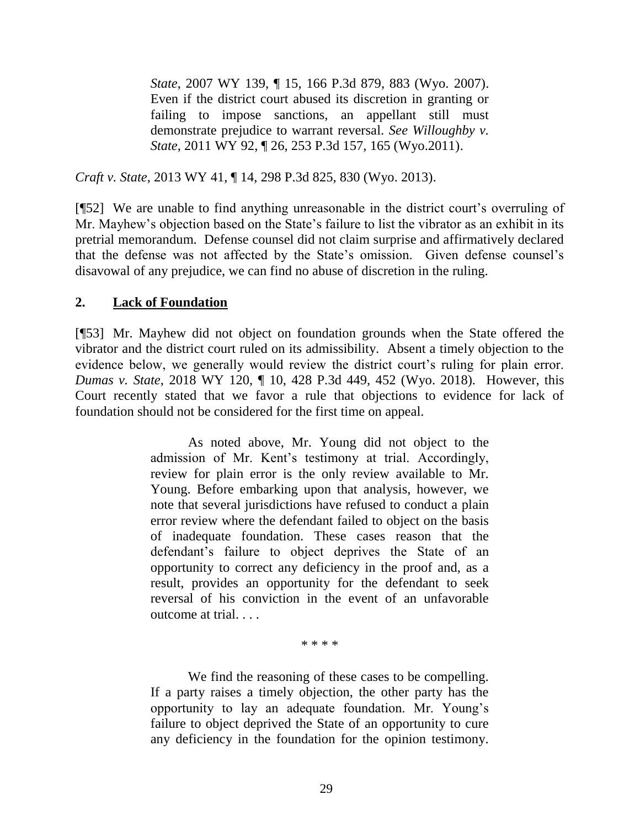*State*[, 2007 WY 139, ¶ 15, 166 P.3d 879, 883 \(Wyo.](http://www.westlaw.com/Link/Document/FullText?findType=Y&serNum=2013073646&pubNum=0004645&originatingDoc=Ie754fc97a14811e2a160cacff148223f&refType=RP&fi=co_pp_sp_4645_883&originationContext=document&vr=3.0&rs=cblt1.0&transitionType=DocumentItem&contextData=(sc.UserEnteredCitation)#co_pp_sp_4645_883) 2007). Even if the district court abused its discretion in granting or failing to impose sanctions, an appellant still must demonstrate prejudice to warrant reversal. *See [Willoughby v.](http://www.westlaw.com/Link/Document/FullText?findType=Y&serNum=2025428356&pubNum=0004645&originatingDoc=Ie754fc97a14811e2a160cacff148223f&refType=RP&fi=co_pp_sp_4645_165&originationContext=document&vr=3.0&rs=cblt1.0&transitionType=DocumentItem&contextData=(sc.UserEnteredCitation)#co_pp_sp_4645_165)  State*[, 2011 WY 92, ¶ 26, 253 P.3d 157, 165 \(Wyo.2011\).](http://www.westlaw.com/Link/Document/FullText?findType=Y&serNum=2025428356&pubNum=0004645&originatingDoc=Ie754fc97a14811e2a160cacff148223f&refType=RP&fi=co_pp_sp_4645_165&originationContext=document&vr=3.0&rs=cblt1.0&transitionType=DocumentItem&contextData=(sc.UserEnteredCitation)#co_pp_sp_4645_165)

*Craft v. State*, 2013 WY 41, ¶ 14, 298 P.3d 825, 830 (Wyo. 2013).

[¶52] We are unable to find anything unreasonable in the district court's overruling of Mr. Mayhew's objection based on the State's failure to list the vibrator as an exhibit in its pretrial memorandum. Defense counsel did not claim surprise and affirmatively declared that the defense was not affected by the State's omission. Given defense counsel's disavowal of any prejudice, we can find no abuse of discretion in the ruling.

## **2. Lack of Foundation**

[¶53] Mr. Mayhew did not object on foundation grounds when the State offered the vibrator and the district court ruled on its admissibility. Absent a timely objection to the evidence below, we generally would review the district court's ruling for plain error. *Dumas v. State*, 2018 WY 120, ¶ 10, 428 P.3d 449, 452 (Wyo. 2018). However, this Court recently stated that we favor a rule that objections to evidence for lack of foundation should not be considered for the first time on appeal.

> As noted above, Mr. Young did not object to the admission of Mr. Kent's testimony at trial. Accordingly, review for plain error is the only review available to Mr. Young. Before embarking upon that analysis, however, we note that several jurisdictions have refused to conduct a plain error review where the defendant failed to object on the basis of inadequate foundation. These cases reason that the defendant's failure to object deprives the State of an opportunity to correct any deficiency in the proof and, as a result, provides an opportunity for the defendant to seek reversal of his conviction in the event of an unfavorable outcome at trial. . . .

> > \* \* \* \*

We find the reasoning of these cases to be compelling. If a party raises a timely objection, the other party has the opportunity to lay an adequate foundation. Mr. Young's failure to object deprived the State of an opportunity to cure any deficiency in the foundation for the opinion testimony.